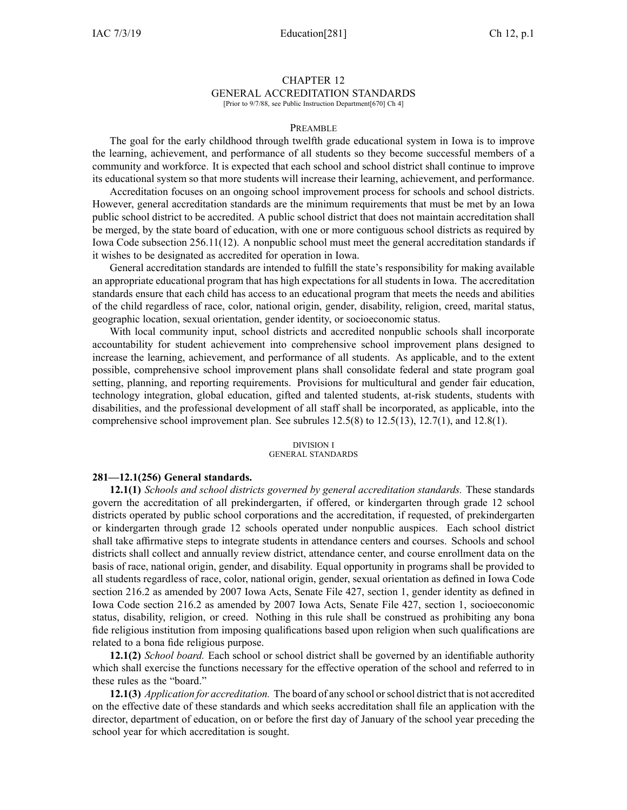# CHAPTER 12 GENERAL ACCREDITATION STANDARDS

[Prior to 9/7/88, see Public Instruction Department[670] Ch 4]

### PREAMBLE

The goal for the early childhood through twelfth grade educational system in Iowa is to improve the learning, achievement, and performance of all students so they become successful members of <sup>a</sup> community and workforce. It is expected that each school and school district shall continue to improve its educational system so that more students will increase their learning, achievement, and performance.

Accreditation focuses on an ongoing school improvement process for schools and school districts. However, general accreditation standards are the minimum requirements that must be met by an Iowa public school district to be accredited. A public school district that does not maintain accreditation shall be merged, by the state board of education, with one or more contiguous school districts as required by Iowa Code subsection [256.11\(12\)](https://www.legis.iowa.gov/docs/ico/section/256.11.pdf). A nonpublic school must meet the general accreditation standards if it wishes to be designated as accredited for operation in Iowa.

General accreditation standards are intended to fulfill the state's responsibility for making available an appropriate educational program that has high expectations for all students in Iowa. The accreditation standards ensure that each child has access to an educational program that meets the needs and abilities of the child regardless of race, color, national origin, gender, disability, religion, creed, marital status, geographic location, sexual orientation, gender identity, or socioeconomic status.

With local community input, school districts and accredited nonpublic schools shall incorporate accountability for student achievement into comprehensive school improvement plans designed to increase the learning, achievement, and performance of all students. As applicable, and to the extent possible, comprehensive school improvement plans shall consolidate federal and state program goal setting, planning, and reporting requirements. Provisions for multicultural and gender fair education, technology integration, global education, gifted and talented students, at-risk students, students with disabilities, and the professional development of all staff shall be incorporated, as applicable, into the comprehensive school improvement plan. See subrules  $12.5(8)$  to  $12.5(13)$ ,  $12.7(1)$ , and  $12.8(1)$ .

#### DIVISION I GENERAL STANDARDS

### **281—12.1(256) General standards.**

**12.1(1)** *Schools and school districts governed by general accreditation standards.* These standards govern the accreditation of all prekindergarten, if offered, or kindergarten through grade 12 school districts operated by public school corporations and the accreditation, if requested, of prekindergarten or kindergarten through grade 12 schools operated under nonpublic auspices. Each school district shall take affirmative steps to integrate students in attendance centers and courses. Schools and school districts shall collect and annually review district, attendance center, and course enrollment data on the basis of race, national origin, gender, and disability. Equal opportunity in programs shall be provided to all students regardless of race, color, national origin, gender, sexual orientation as defined in Iowa Code section [216.2](https://www.legis.iowa.gov/docs/ico/section/216.2.pdf) as amended by 2007 Iowa Acts, Senate File 427, section 1, gender identity as defined in Iowa Code section [216.2](https://www.legis.iowa.gov/docs/ico/section/216.2.pdf) as amended by 2007 Iowa Acts, Senate File 427, section 1, socioeconomic status, disability, religion, or creed. Nothing in this rule shall be construed as prohibiting any bona fide religious institution from imposing qualifications based upon religion when such qualifications are related to <sup>a</sup> bona fide religious purpose.

**12.1(2)** *School board.* Each school or school district shall be governed by an identifiable authority which shall exercise the functions necessary for the effective operation of the school and referred to in these rules as the "board."

**12.1(3)** *Application for accreditation.* The board of any school orschool district that is not accredited on the effective date of these standards and which seeks accreditation shall file an application with the director, department of education, on or before the first day of January of the school year preceding the school year for which accreditation is sought.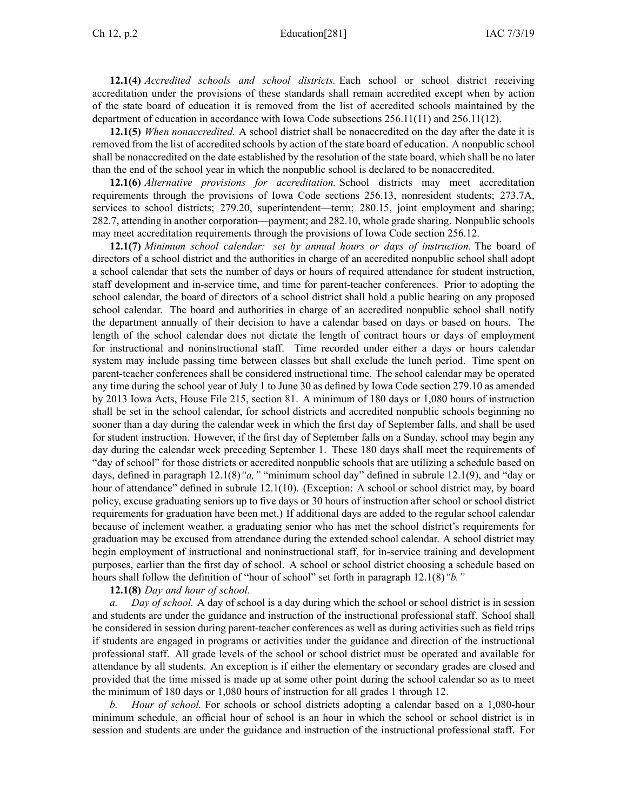**12.1(4)** *Accredited schools and school districts.* Each school or school district receiving accreditation under the provisions of these standards shall remain accredited excep<sup>t</sup> when by action of the state board of education it is removed from the list of accredited schools maintained by the department of education in accordance with Iowa Code subsections [256.11\(11\)](https://www.legis.iowa.gov/docs/ico/section/256.11.pdf) and [256.11\(12\)](https://www.legis.iowa.gov/docs/ico/section/256.11.pdf).

**12.1(5)** *When nonaccredited.* A school district shall be nonaccredited on the day after the date it is removed from the list of accredited schools by action of the state board of education. A nonpublic school shall be nonaccredited on the date established by the resolution of the state board, which shall be no later than the end of the school year in which the nonpublic school is declared to be nonaccredited.

**12.1(6)** *Alternative provisions for accreditation.* School districts may meet accreditation requirements through the provisions of Iowa Code sections [256.13](https://www.legis.iowa.gov/docs/ico/section/256.13.pdf), nonresident students; [273.7A](https://www.legis.iowa.gov/docs/ico/section/273.7A.pdf), services to school districts; [279.20](https://www.legis.iowa.gov/docs/ico/section/279.20.pdf), superintendent—term; [280.15](https://www.legis.iowa.gov/docs/ico/section/280.15.pdf), joint employment and sharing; [282.7](https://www.legis.iowa.gov/docs/ico/section/282.7.pdf), attending in another corporation—payment; and [282.10](https://www.legis.iowa.gov/docs/ico/section/282.10.pdf), whole grade sharing. Nonpublic schools may meet accreditation requirements through the provisions of Iowa Code section [256.12](https://www.legis.iowa.gov/docs/ico/section/256.12.pdf).

**12.1(7)** *Minimum school calendar: set by annual hours or days of instruction.* The board of directors of <sup>a</sup> school district and the authorities in charge of an accredited nonpublic school shall adopt <sup>a</sup> school calendar that sets the number of days or hours of required attendance for student instruction, staff development and in-service time, and time for parent-teacher conferences. Prior to adopting the school calendar, the board of directors of <sup>a</sup> school district shall hold <sup>a</sup> public hearing on any proposed school calendar. The board and authorities in charge of an accredited nonpublic school shall notify the department annually of their decision to have <sup>a</sup> calendar based on days or based on hours. The length of the school calendar does not dictate the length of contract hours or days of employment for instructional and noninstructional staff. Time recorded under either <sup>a</sup> days or hours calendar system may include passing time between classes but shall exclude the lunch period. Time spen<sup>t</sup> on parent-teacher conferences shall be considered instructional time. The school calendar may be operated any time during the school year of July 1 to June 30 as defined by Iowa Code section [279.10](https://www.legis.iowa.gov/docs/ico/section/279.10.pdf) as amended by 2013 Iowa Acts, House File 215, section 81. A minimum of 180 days or 1,080 hours of instruction shall be set in the school calendar, for school districts and accredited nonpublic schools beginning no sooner than <sup>a</sup> day during the calendar week in which the first day of September falls, and shall be used for student instruction. However, if the first day of September falls on <sup>a</sup> Sunday, school may begin any day during the calendar week preceding September 1. These 180 days shall meet the requirements of "day of school" for those districts or accredited nonpublic schools that are utilizing <sup>a</sup> schedule based on days, defined in paragraph [12.1\(8\)](https://www.legis.iowa.gov/docs/iac/rule/281.12.1.pdf)*"a,"* "minimum school day" defined in subrule [12.1\(9\)](https://www.legis.iowa.gov/docs/iac/rule/291.12.1.pdf), and "day or hour of attendance" defined in subrule [12.1\(10\)](https://www.legis.iowa.gov/docs/iac/rule/281.12.1.pdf). (Exception: A school or school district may, by board policy, excuse graduating seniors up to five days or 30 hours of instruction after school or school district requirements for graduation have been met.) If additional days are added to the regular school calendar because of inclement weather, <sup>a</sup> graduating senior who has met the school district's requirements for graduation may be excused from attendance during the extended school calendar. A school district may begin employment of instructional and noninstructional staff, for in-service training and development purposes, earlier than the first day of school. A school or school district choosing <sup>a</sup> schedule based on hours shall follow the definition of "hour of school" set forth in paragraph [12.1\(8\)](https://www.legis.iowa.gov/docs/iac/rule/281.12.1.pdf)*"b."*

### **12.1(8)** *Day and hour of school.*

*Day of school.* A day of school is a day during which the school or school district is in session and students are under the guidance and instruction of the instructional professional staff. School shall be considered in session during parent-teacher conferences as well as during activities such as field trips if students are engaged in programs or activities under the guidance and direction of the instructional professional staff. All grade levels of the school or school district must be operated and available for attendance by all students. An exception is if either the elementary or secondary grades are closed and provided that the time missed is made up at some other point during the school calendar so as to meet the minimum of 180 days or 1,080 hours of instruction for all grades 1 through 12.

*b. Hour of school.* For schools or school districts adopting <sup>a</sup> calendar based on <sup>a</sup> 1,080-hour minimum schedule, an official hour of school is an hour in which the school or school district is in session and students are under the guidance and instruction of the instructional professional staff. For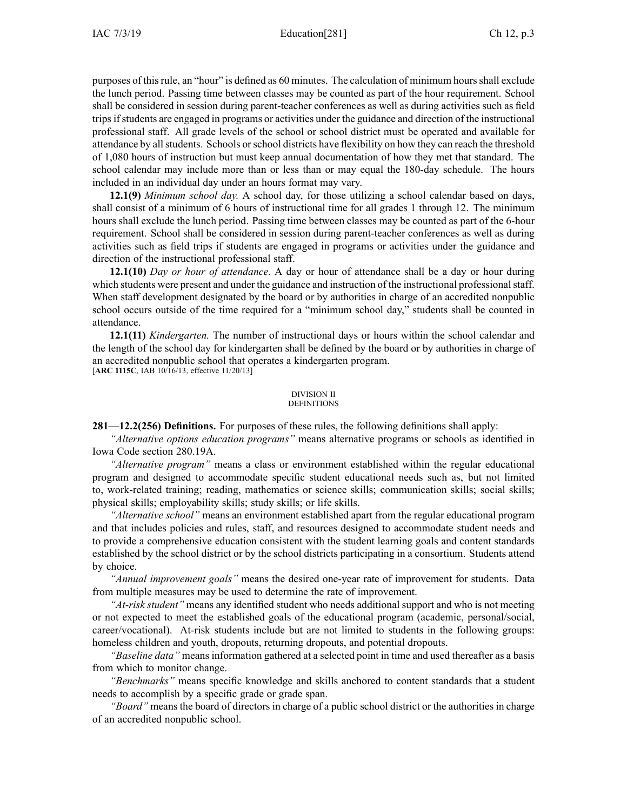purposes of thisrule, an "hour" is defined as 60 minutes. The calculation of minimum hoursshall exclude the lunch period. Passing time between classes may be counted as par<sup>t</sup> of the hour requirement. School shall be considered in session during parent-teacher conferences as well as during activities such as field tripsifstudents are engaged in programs or activities under the guidance and direction of the instructional professional staff. All grade levels of the school or school district must be operated and available for attendance by all students. Schools or school districts have flexibility on how they can reach the threshold of 1,080 hours of instruction but must keep annual documentation of how they met that standard. The school calendar may include more than or less than or may equal the 180-day schedule. The hours included in an individual day under an hours format may vary.

**12.1(9)** *Minimum school day.* A school day, for those utilizing <sup>a</sup> school calendar based on days, shall consist of <sup>a</sup> minimum of 6 hours of instructional time for all grades 1 through 12. The minimum hours shall exclude the lunch period. Passing time between classes may be counted as par<sup>t</sup> of the 6-hour requirement. School shall be considered in session during parent-teacher conferences as well as during activities such as field trips if students are engaged in programs or activities under the guidance and direction of the instructional professional staff.

**12.1(10)** *Day or hour of attendance.* A day or hour of attendance shall be <sup>a</sup> day or hour during which students were presen<sup>t</sup> and under the guidance and instruction of the instructional professionalstaff. When staff development designated by the board or by authorities in charge of an accredited nonpublic school occurs outside of the time required for <sup>a</sup> "minimum school day," students shall be counted in attendance.

**12.1(11)** *Kindergarten.* The number of instructional days or hours within the school calendar and the length of the school day for kindergarten shall be defined by the board or by authorities in charge of an accredited nonpublic school that operates <sup>a</sup> kindergarten program. [**ARC [1115C](https://www.legis.iowa.gov/docs/aco/arc/1115C.pdf)**, IAB 10/16/13, effective 11/20/13]

#### DIVISION II **DEFINITIONS**

**281—12.2(256) Definitions.** For purposes of these rules, the following definitions shall apply:

*"Alternative options education programs"* means alternative programs or schools as identified in Iowa Code section [280.19A](https://www.legis.iowa.gov/docs/ico/section/280.19A.pdf).

*"Alternative program"* means <sup>a</sup> class or environment established within the regular educational program and designed to accommodate specific student educational needs such as, but not limited to, work-related training; reading, mathematics or science skills; communication skills; social skills; physical skills; employability skills; study skills; or life skills.

*"Alternative school"* means an environment established apar<sup>t</sup> from the regular educational program and that includes policies and rules, staff, and resources designed to accommodate student needs and to provide <sup>a</sup> comprehensive education consistent with the student learning goals and content standards established by the school district or by the school districts participating in <sup>a</sup> consortium. Students attend by choice.

*"Annual improvement goals"* means the desired one-year rate of improvement for students. Data from multiple measures may be used to determine the rate of improvement.

*"At-risk student"* means any identified student who needs additional suppor<sup>t</sup> and who is not meeting or not expected to meet the established goals of the educational program (academic, personal/social, career/vocational). At-risk students include but are not limited to students in the following groups: homeless children and youth, dropouts, returning dropouts, and potential dropouts.

*"Baseline data"* means information gathered at <sup>a</sup> selected point in time and used thereafter as <sup>a</sup> basis from which to monitor change.

*"Benchmarks"* means specific knowledge and skills anchored to content standards that <sup>a</sup> student needs to accomplish by <sup>a</sup> specific grade or grade span.

*"Board"* means the board of directors in charge of <sup>a</sup> public school district or the authorities in charge of an accredited nonpublic school.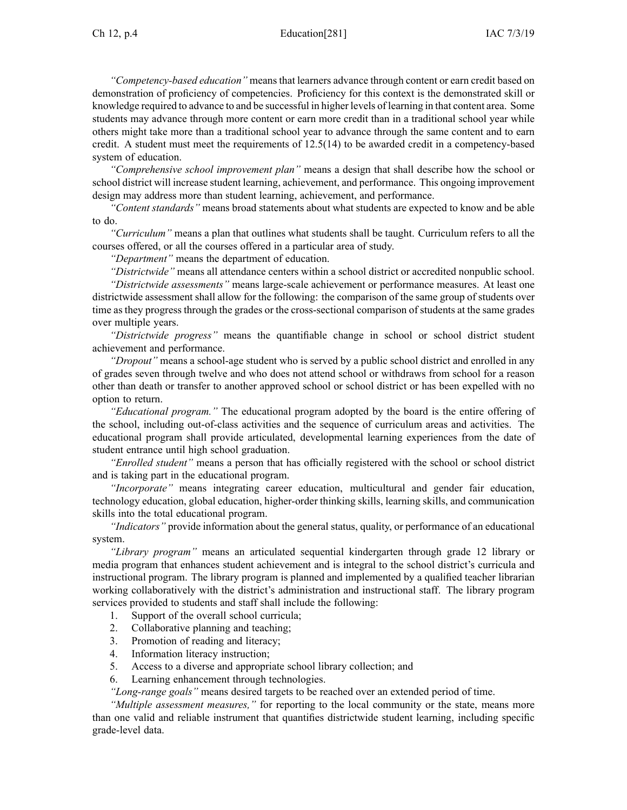*"Competency-based education"* means that learners advance through content or earn credit based on demonstration of proficiency of competencies. Proficiency for this context is the demonstrated skill or knowledge required to advance to and be successful in higher levels of learning in that content area. Some students may advance through more content or earn more credit than in <sup>a</sup> traditional school year while others might take more than <sup>a</sup> traditional school year to advance through the same content and to earn credit. A student must meet the requirements of [12.5\(14\)](https://www.legis.iowa.gov/docs/iac/rule/281.12.5.pdf) to be awarded credit in <sup>a</sup> competency-based system of education.

*"Comprehensive school improvement plan"* means <sup>a</sup> design that shall describe how the school or school district will increase student learning, achievement, and performance. This ongoing improvement design may address more than student learning, achievement, and performance.

*"Content standards"* means broad statements about what students are expected to know and be able to do.

*"Curriculum"* means <sup>a</sup> plan that outlines what students shall be taught. Curriculum refers to all the courses offered, or all the courses offered in <sup>a</sup> particular area of study.

*"Department"* means the department of education.

*"Districtwide"* means all attendance centers within <sup>a</sup> school district or accredited nonpublic school. *"Districtwide assessments"* means large-scale achievement or performance measures. At least one districtwide assessment shall allow for the following: the comparison of the same group of students over time as they progress through the grades or the cross-sectional comparison of students at the same grades over multiple years.

*"Districtwide progress"* means the quantifiable change in school or school district student achievement and performance.

*"Dropout"* means <sup>a</sup> school-age student who is served by <sup>a</sup> public school district and enrolled in any of grades seven through twelve and who does not attend school or withdraws from school for <sup>a</sup> reason other than death or transfer to another approved school or school district or has been expelled with no option to return.

*"Educational program."* The educational program adopted by the board is the entire offering of the school, including out-of-class activities and the sequence of curriculum areas and activities. The educational program shall provide articulated, developmental learning experiences from the date of student entrance until high school graduation.

*"Enrolled student"* means <sup>a</sup> person that has officially registered with the school or school district and is taking par<sup>t</sup> in the educational program.

*"Incorporate"* means integrating career education, multicultural and gender fair education, technology education, global education, higher-order thinking skills, learning skills, and communication skills into the total educational program.

*"Indicators"* provide information about the general status, quality, or performance of an educational system.

*"Library program"* means an articulated sequential kindergarten through grade 12 library or media program that enhances student achievement and is integral to the school district's curricula and instructional program. The library program is planned and implemented by <sup>a</sup> qualified teacher librarian working collaboratively with the district's administration and instructional staff. The library program services provided to students and staff shall include the following:

- 1. Support of the overall school curricula;
- 2. Collaborative planning and teaching;
- 3. Promotion of reading and literacy;
- 4. Information literacy instruction;
- 5. Access to <sup>a</sup> diverse and appropriate school library collection; and
- 6. Learning enhancement through technologies.

*"Long-range goals"* means desired targets to be reached over an extended period of time.

*"Multiple assessment measures,"* for reporting to the local community or the state, means more than one valid and reliable instrument that quantifies districtwide student learning, including specific grade-level data.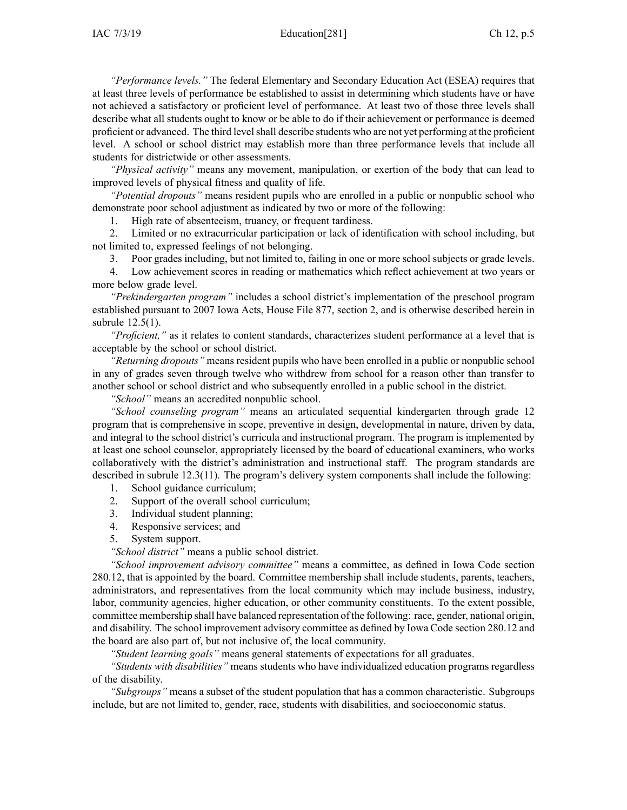*"Performance levels."* The federal Elementary and Secondary Education Act (ESEA) requires that at least three levels of performance be established to assist in determining which students have or have not achieved <sup>a</sup> satisfactory or proficient level of performance. At least two of those three levels shall describe what all students ought to know or be able to do if their achievement or performance is deemed proficient or advanced. The third levelshall describe students who are not ye<sup>t</sup> performing at the proficient level. A school or school district may establish more than three performance levels that include all students for districtwide or other assessments.

*"Physical activity"* means any movement, manipulation, or exertion of the body that can lead to improved levels of physical fitness and quality of life.

*"Potential dropouts"* means resident pupils who are enrolled in <sup>a</sup> public or nonpublic school who demonstrate poor school adjustment as indicated by two or more of the following:

1. High rate of absenteeism, truancy, or frequent tardiness.

2. Limited or no extracurricular participation or lack of identification with school including, but not limited to, expressed feelings of not belonging.

3. Poor grades including, but not limited to, failing in one or more school subjects or grade levels.

4. Low achievement scores in reading or mathematics which reflect achievement at two years or more below grade level.

*"Prekindergarten program"* includes <sup>a</sup> school district's implementation of the preschool program established pursuan<sup>t</sup> to 2007 Iowa Acts, House File 877, section 2, and is otherwise described herein in subrule [12.5\(1\)](https://www.legis.iowa.gov/docs/iac/rule/281.12.5.pdf).

*"Proficient,"* as it relates to content standards, characterizes student performance at <sup>a</sup> level that is acceptable by the school or school district.

*"Returning dropouts"* means resident pupils who have been enrolled in <sup>a</sup> public or nonpublic school in any of grades seven through twelve who withdrew from school for <sup>a</sup> reason other than transfer to another school or school district and who subsequently enrolled in <sup>a</sup> public school in the district.

*"School"* means an accredited nonpublic school.

*"School counseling program"* means an articulated sequential kindergarten through grade 12 program that is comprehensive in scope, preventive in design, developmental in nature, driven by data, and integral to the school district's curricula and instructional program. The program is implemented by at least one school counselor, appropriately licensed by the board of educational examiners, who works collaboratively with the district's administration and instructional staff. The program standards are described in subrule [12.3\(11\)](https://www.legis.iowa.gov/docs/iac/rule/281.12.3.pdf). The program's delivery system components shall include the following:

- 1. School guidance curriculum;
- 2. Support of the overall school curriculum;
- 3. Individual student planning;
- 4. Responsive services; and
- 5. System support.

*"School district"* means <sup>a</sup> public school district.

*"School improvement advisory committee"* means <sup>a</sup> committee, as defined in Iowa Code section [280.12](https://www.legis.iowa.gov/docs/ico/section/280.12.pdf), that is appointed by the board. Committee membership shall include students, parents, teachers, administrators, and representatives from the local community which may include business, industry, labor, community agencies, higher education, or other community constituents. To the extent possible, committee membership shall have balanced representation of the following: race, gender, national origin, and disability. The school improvement advisory committee as defined by Iowa Code section [280.12](https://www.legis.iowa.gov/docs/ico/section/280.12.pdf) and the board are also par<sup>t</sup> of, but not inclusive of, the local community.

*"Student learning goals"* means general statements of expectations for all graduates.

*"Students with disabilities"* means students who have individualized education programs regardless of the disability.

*"Subgroups"* means <sup>a</sup> subset of the student population that has <sup>a</sup> common characteristic. Subgroups include, but are not limited to, gender, race, students with disabilities, and socioeconomic status.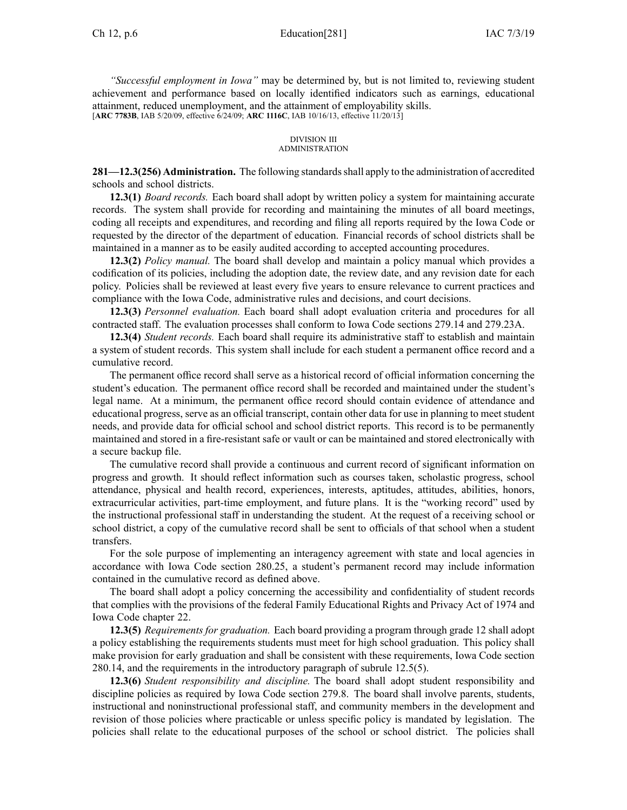*"Successful employment in Iowa"* may be determined by, but is not limited to, reviewing student achievement and performance based on locally identified indicators such as earnings, educational attainment, reduced unemployment, and the attainment of employability skills. [**ARC [7783B](https://www.legis.iowa.gov/docs/aco/arc/7783B.pdf)**, IAB 5/20/09, effective 6/24/09; **ARC [1116C](https://www.legis.iowa.gov/docs/aco/arc/1116C.pdf)**, IAB 10/16/13, effective 11/20/13]

### DIVISION III ADMINISTRATION

281—12.3(256) Administration. The following standards shall apply to the administration of accredited schools and school districts.

**12.3(1)** *Board records.* Each board shall adopt by written policy <sup>a</sup> system for maintaining accurate records. The system shall provide for recording and maintaining the minutes of all board meetings, coding all receipts and expenditures, and recording and filing all reports required by the Iowa Code or requested by the director of the department of education. Financial records of school districts shall be maintained in <sup>a</sup> manner as to be easily audited according to accepted accounting procedures.

**12.3(2)** *Policy manual.* The board shall develop and maintain <sup>a</sup> policy manual which provides <sup>a</sup> codification of its policies, including the adoption date, the review date, and any revision date for each policy. Policies shall be reviewed at least every five years to ensure relevance to current practices and compliance with the Iowa Code, administrative rules and decisions, and court decisions.

**12.3(3)** *Personnel evaluation.* Each board shall adopt evaluation criteria and procedures for all contracted staff. The evaluation processes shall conform to Iowa Code sections [279.14](https://www.legis.iowa.gov/docs/ico/section/279.14.pdf) and [279.23A](https://www.legis.iowa.gov/docs/ico/section/279.23A.pdf).

**12.3(4)** *Student records.* Each board shall require its administrative staff to establish and maintain <sup>a</sup> system of student records. This system shall include for each student <sup>a</sup> permanen<sup>t</sup> office record and <sup>a</sup> cumulative record.

The permanen<sup>t</sup> office record shall serve as <sup>a</sup> historical record of official information concerning the student's education. The permanen<sup>t</sup> office record shall be recorded and maintained under the student's legal name. At <sup>a</sup> minimum, the permanen<sup>t</sup> office record should contain evidence of attendance and educational progress, serve as an official transcript, contain other data for use in planning to meet student needs, and provide data for official school and school district reports. This record is to be permanently maintained and stored in <sup>a</sup> fire-resistant safe or vault or can be maintained and stored electronically with <sup>a</sup> secure backup file.

The cumulative record shall provide <sup>a</sup> continuous and current record of significant information on progress and growth. It should reflect information such as courses taken, scholastic progress, school attendance, physical and health record, experiences, interests, aptitudes, attitudes, abilities, honors, extracurricular activities, part-time employment, and future plans. It is the "working record" used by the instructional professional staff in understanding the student. At the reques<sup>t</sup> of <sup>a</sup> receiving school or school district, <sup>a</sup> copy of the cumulative record shall be sent to officials of that school when <sup>a</sup> student transfers.

For the sole purpose of implementing an interagency agreement with state and local agencies in accordance with Iowa Code section [280.25](https://www.legis.iowa.gov/docs/ico/section/280.25.pdf), <sup>a</sup> student's permanen<sup>t</sup> record may include information contained in the cumulative record as defined above.

The board shall adopt <sup>a</sup> policy concerning the accessibility and confidentiality of student records that complies with the provisions of the federal Family Educational Rights and Privacy Act of 1974 and Iowa Code chapter [22](https://www.legis.iowa.gov/docs/ico/chapter/22.pdf).

**12.3(5)** *Requirements for graduation.* Each board providing <sup>a</sup> program through grade 12 shall adopt <sup>a</sup> policy establishing the requirements students must meet for high school graduation. This policy shall make provision for early graduation and shall be consistent with these requirements, Iowa Code section [280.14](https://www.legis.iowa.gov/docs/ico/section/280.14.pdf), and the requirements in the introductory paragraph of subrule [12.5\(5\)](https://www.legis.iowa.gov/docs/iac/rule/281.12.5.pdf).

**12.3(6)** *Student responsibility and discipline.* The board shall adopt student responsibility and discipline policies as required by Iowa Code section [279.8](https://www.legis.iowa.gov/docs/ico/section/279.8.pdf). The board shall involve parents, students, instructional and noninstructional professional staff, and community members in the development and revision of those policies where practicable or unless specific policy is mandated by legislation. The policies shall relate to the educational purposes of the school or school district. The policies shall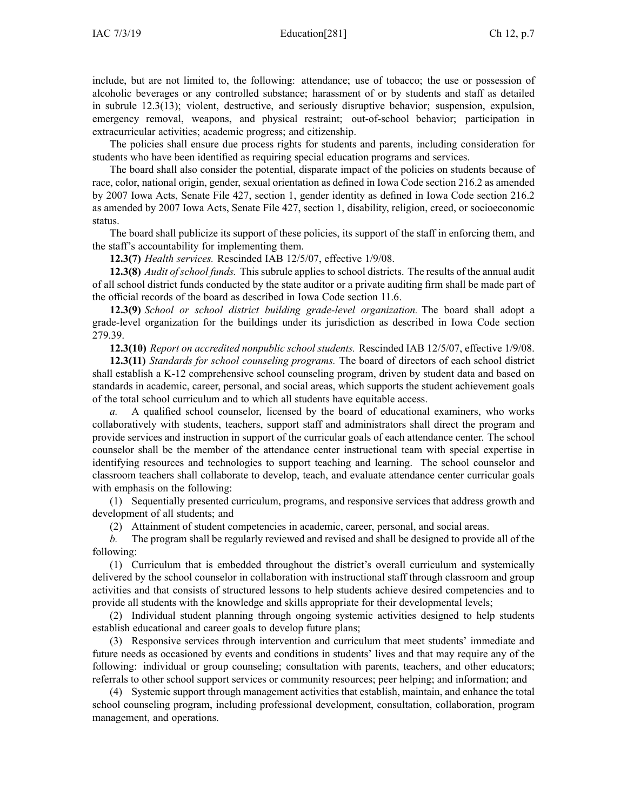include, but are not limited to, the following: attendance; use of tobacco; the use or possession of alcoholic beverages or any controlled substance; harassment of or by students and staff as detailed in subrule [12.3\(13\)](https://www.legis.iowa.gov/docs/iac/rule/281.12.3.pdf); violent, destructive, and seriously disruptive behavior; suspension, expulsion, emergency removal, weapons, and physical restraint; out-of-school behavior; participation in extracurricular activities; academic progress; and citizenship.

The policies shall ensure due process rights for students and parents, including consideration for students who have been identified as requiring special education programs and services.

The board shall also consider the potential, disparate impact of the policies on students because of race, color, national origin, gender, sexual orientation as defined in Iowa Code section [216.2](https://www.legis.iowa.gov/docs/ico/section/216.2.pdf) as amended by 2007 Iowa Acts, Senate File 427, section 1, gender identity as defined in Iowa Code section [216.2](https://www.legis.iowa.gov/docs/ico/section/216.2.pdf) as amended by 2007 Iowa Acts, Senate File 427, section 1, disability, religion, creed, or socioeconomic status.

The board shall publicize its suppor<sup>t</sup> of these policies, its suppor<sup>t</sup> of the staff in enforcing them, and the staff's accountability for implementing them.

**12.3(7)** *Health services.* Rescinded IAB [12/5/07](https://www.legis.iowa.gov/docs/aco/bulletin/12-05-2007.pdf), effective 1/9/08.

**12.3(8)** *Audit of school funds.* This subrule applies to school districts. The results of the annual audit of all school district funds conducted by the state auditor or <sup>a</sup> private auditing firm shall be made par<sup>t</sup> of the official records of the board as described in Iowa Code section [11.6](https://www.legis.iowa.gov/docs/ico/section/11.6.pdf).

**12.3(9)** *School or school district building grade-level organization.* The board shall adopt <sup>a</sup> grade-level organization for the buildings under its jurisdiction as described in Iowa Code section [279.39](https://www.legis.iowa.gov/docs/ico/section/279.39.pdf).

**12.3(10)** *Report on accredited nonpublic school students.* Rescinded IAB [12/5/07](https://www.legis.iowa.gov/docs/aco/bulletin/12-05-2007.pdf), effective 1/9/08.

**12.3(11)** *Standards for school counseling programs.* The board of directors of each school district shall establish <sup>a</sup> K-12 comprehensive school counseling program, driven by student data and based on standards in academic, career, personal, and social areas, which supports the student achievement goals of the total school curriculum and to which all students have equitable access.

*a.* A qualified school counselor, licensed by the board of educational examiners, who works collaboratively with students, teachers, suppor<sup>t</sup> staff and administrators shall direct the program and provide services and instruction in suppor<sup>t</sup> of the curricular goals of each attendance center. The school counselor shall be the member of the attendance center instructional team with special expertise in identifying resources and technologies to suppor<sup>t</sup> teaching and learning. The school counselor and classroom teachers shall collaborate to develop, teach, and evaluate attendance center curricular goals with emphasis on the following:

(1) Sequentially presented curriculum, programs, and responsive services that address growth and development of all students; and

(2) Attainment of student competencies in academic, career, personal, and social areas.

*b.* The program shall be regularly reviewed and revised and shall be designed to provide all of the following:

(1) Curriculum that is embedded throughout the district's overall curriculum and systemically delivered by the school counselor in collaboration with instructional staff through classroom and group activities and that consists of structured lessons to help students achieve desired competencies and to provide all students with the knowledge and skills appropriate for their developmental levels;

(2) Individual student planning through ongoing systemic activities designed to help students establish educational and career goals to develop future plans;

(3) Responsive services through intervention and curriculum that meet students' immediate and future needs as occasioned by events and conditions in students' lives and that may require any of the following: individual or group counseling; consultation with parents, teachers, and other educators; referrals to other school suppor<sup>t</sup> services or community resources; peer helping; and information; and

(4) Systemic suppor<sup>t</sup> through managemen<sup>t</sup> activities that establish, maintain, and enhance the total school counseling program, including professional development, consultation, collaboration, program management, and operations.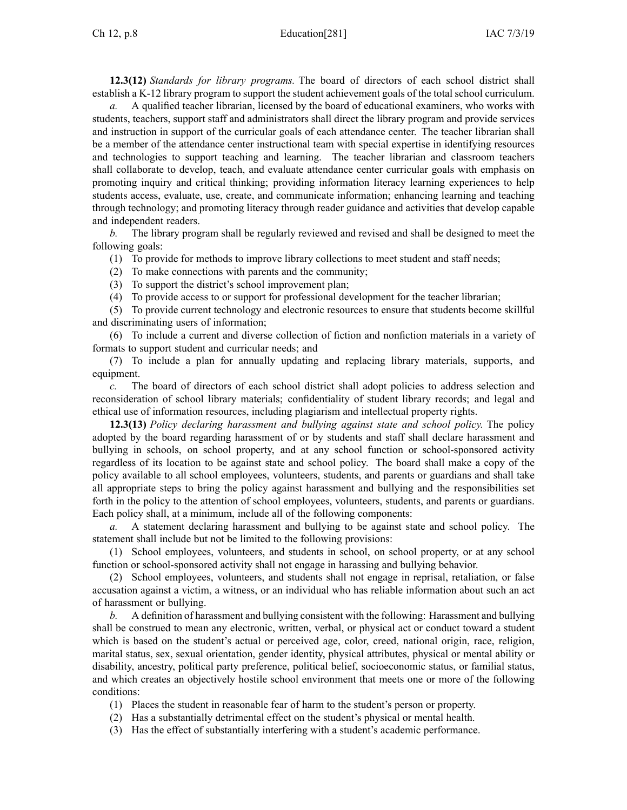**12.3(12)** *Standards for library programs.* The board of directors of each school district shall establish <sup>a</sup> K-12 library program to suppor<sup>t</sup> the student achievement goals of the total school curriculum.

*a.* A qualified teacher librarian, licensed by the board of educational examiners, who works with students, teachers, suppor<sup>t</sup> staff and administrators shall direct the library program and provide services and instruction in suppor<sup>t</sup> of the curricular goals of each attendance center. The teacher librarian shall be <sup>a</sup> member of the attendance center instructional team with special expertise in identifying resources and technologies to suppor<sup>t</sup> teaching and learning. The teacher librarian and classroom teachers shall collaborate to develop, teach, and evaluate attendance center curricular goals with emphasis on promoting inquiry and critical thinking; providing information literacy learning experiences to help students access, evaluate, use, create, and communicate information; enhancing learning and teaching through technology; and promoting literacy through reader guidance and activities that develop capable and independent readers.

*b.* The library program shall be regularly reviewed and revised and shall be designed to meet the following goals:

(1) To provide for methods to improve library collections to meet student and staff needs;

(2) To make connections with parents and the community;

(3) To suppor<sup>t</sup> the district's school improvement plan;

(4) To provide access to or suppor<sup>t</sup> for professional development for the teacher librarian;

(5) To provide current technology and electronic resources to ensure that students become skillful and discriminating users of information;

(6) To include <sup>a</sup> current and diverse collection of fiction and nonfiction materials in <sup>a</sup> variety of formats to suppor<sup>t</sup> student and curricular needs; and

(7) To include <sup>a</sup> plan for annually updating and replacing library materials, supports, and equipment.

*c.* The board of directors of each school district shall adopt policies to address selection and reconsideration of school library materials; confidentiality of student library records; and legal and ethical use of information resources, including plagiarism and intellectual property rights.

**12.3(13)** *Policy declaring harassment and bullying against state and school policy.* The policy adopted by the board regarding harassment of or by students and staff shall declare harassment and bullying in schools, on school property, and at any school function or school-sponsored activity regardless of its location to be against state and school policy. The board shall make <sup>a</sup> copy of the policy available to all school employees, volunteers, students, and parents or guardians and shall take all appropriate steps to bring the policy against harassment and bullying and the responsibilities set forth in the policy to the attention of school employees, volunteers, students, and parents or guardians. Each policy shall, at <sup>a</sup> minimum, include all of the following components:

*a.* A statement declaring harassment and bullying to be against state and school policy. The statement shall include but not be limited to the following provisions:

(1) School employees, volunteers, and students in school, on school property, or at any school function or school-sponsored activity shall not engage in harassing and bullying behavior.

(2) School employees, volunteers, and students shall not engage in reprisal, retaliation, or false accusation against <sup>a</sup> victim, <sup>a</sup> witness, or an individual who has reliable information about such an act of harassment or bullying.

*b.* A definition of harassment and bullying consistent with the following: Harassment and bullying shall be construed to mean any electronic, written, verbal, or physical act or conduct toward <sup>a</sup> student which is based on the student's actual or perceived age, color, creed, national origin, race, religion, marital status, sex, sexual orientation, gender identity, physical attributes, physical or mental ability or disability, ancestry, political party preference, political belief, socioeconomic status, or familial status, and which creates an objectively hostile school environment that meets one or more of the following conditions:

(1) Places the student in reasonable fear of harm to the student's person or property.

(2) Has <sup>a</sup> substantially detrimental effect on the student's physical or mental health.

(3) Has the effect of substantially interfering with <sup>a</sup> student's academic performance.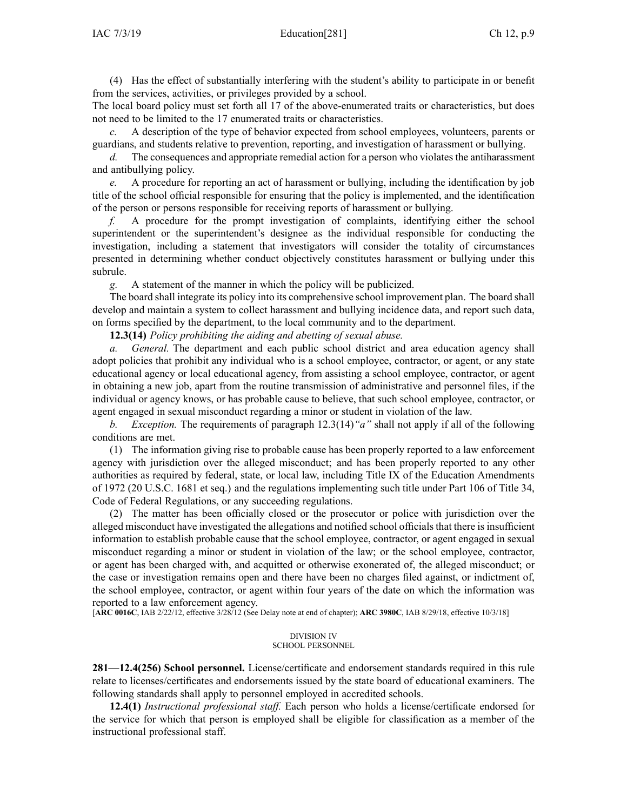(4) Has the effect of substantially interfering with the student's ability to participate in or benefit from the services, activities, or privileges provided by <sup>a</sup> school.

The local board policy must set forth all 17 of the above-enumerated traits or characteristics, but does not need to be limited to the 17 enumerated traits or characteristics.

*c.* A description of the type of behavior expected from school employees, volunteers, parents or guardians, and students relative to prevention, reporting, and investigation of harassment or bullying.

*d.* The consequences and appropriate remedial action for a person who violates the antiharassment and antibullying policy.

*e.* A procedure for reporting an act of harassment or bullying, including the identification by job title of the school official responsible for ensuring that the policy is implemented, and the identification of the person or persons responsible for receiving reports of harassment or bullying.

*f.* A procedure for the promp<sup>t</sup> investigation of complaints, identifying either the school superintendent or the superintendent's designee as the individual responsible for conducting the investigation, including <sup>a</sup> statement that investigators will consider the totality of circumstances presented in determining whether conduct objectively constitutes harassment or bullying under this subrule.

*g.* A statement of the manner in which the policy will be publicized.

The board shall integrate its policy into its comprehensive school improvement plan. The board shall develop and maintain <sup>a</sup> system to collect harassment and bullying incidence data, and repor<sup>t</sup> such data, on forms specified by the department, to the local community and to the department.

**12.3(14)** *Policy prohibiting the aiding and abetting of sexual abuse.*

*a. General.* The department and each public school district and area education agency shall adopt policies that prohibit any individual who is <sup>a</sup> school employee, contractor, or agent, or any state educational agency or local educational agency, from assisting <sup>a</sup> school employee, contractor, or agen<sup>t</sup> in obtaining <sup>a</sup> new job, apar<sup>t</sup> from the routine transmission of administrative and personnel files, if the individual or agency knows, or has probable cause to believe, that such school employee, contractor, or agen<sup>t</sup> engaged in sexual misconduct regarding <sup>a</sup> minor or student in violation of the law.

*b. Exception.* The requirements of paragraph 12.3(14)*"a"* shall not apply if all of the following conditions are met.

(1) The information giving rise to probable cause has been properly reported to <sup>a</sup> law enforcement agency with jurisdiction over the alleged misconduct; and has been properly reported to any other authorities as required by federal, state, or local law, including Title IX of the Education Amendments of 1972 (20 U.S.C. 1681 et seq.) and the regulations implementing such title under Part 106 of Title 34, Code of Federal Regulations, or any succeeding regulations.

(2) The matter has been officially closed or the prosecutor or police with jurisdiction over the alleged misconduct have investigated the allegations and notified school officials that there is insufficient information to establish probable cause that the school employee, contractor, or agen<sup>t</sup> engaged in sexual misconduct regarding <sup>a</sup> minor or student in violation of the law; or the school employee, contractor, or agen<sup>t</sup> has been charged with, and acquitted or otherwise exonerated of, the alleged misconduct; or the case or investigation remains open and there have been no charges filed against, or indictment of, the school employee, contractor, or agen<sup>t</sup> within four years of the date on which the information was reported to <sup>a</sup> law enforcement agency.

[**ARC [0016C](https://www.legis.iowa.gov/docs/aco/arc/0016C.pdf)**, IAB 2/22/12, effective 3/28/12 (See Delay note at end of chapter); **ARC [3980C](https://www.legis.iowa.gov/docs/aco/arc/3980C.pdf)**, IAB 8/29/18, effective 10/3/18]

### DIVISION IV SCHOOL PERSONNEL

**281—12.4(256) School personnel.** License/certificate and endorsement standards required in this rule relate to licenses/certificates and endorsements issued by the state board of educational examiners. The following standards shall apply to personnel employed in accredited schools.

**12.4(1)** *Instructional professional staff.* Each person who holds <sup>a</sup> license/certificate endorsed for the service for which that person is employed shall be eligible for classification as <sup>a</sup> member of the instructional professional staff.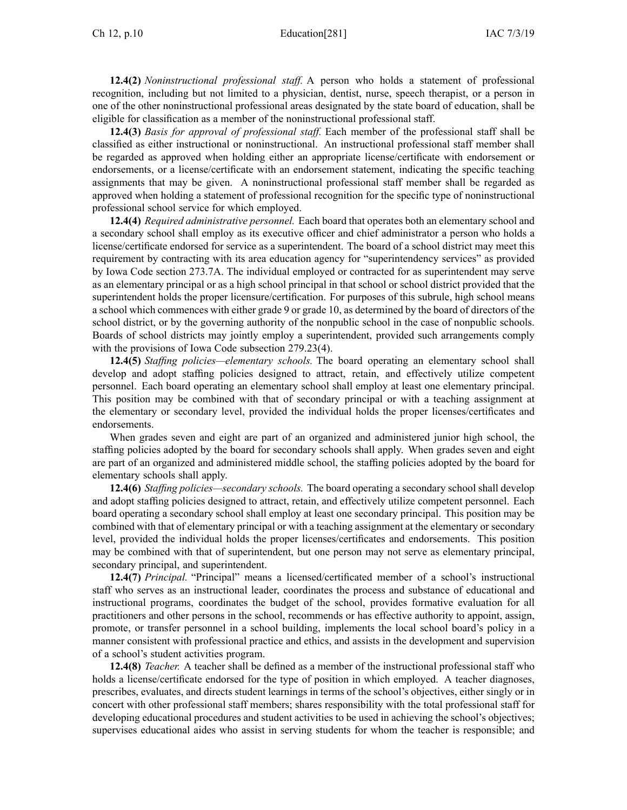**12.4(2)** *Noninstructional professional staff.* A person who holds <sup>a</sup> statement of professional recognition, including but not limited to <sup>a</sup> physician, dentist, nurse, speech therapist, or <sup>a</sup> person in one of the other noninstructional professional areas designated by the state board of education, shall be eligible for classification as <sup>a</sup> member of the noninstructional professional staff.

**12.4(3)** *Basis for approval of professional staff.* Each member of the professional staff shall be classified as either instructional or noninstructional. An instructional professional staff member shall be regarded as approved when holding either an appropriate license/certificate with endorsement or endorsements, or <sup>a</sup> license/certificate with an endorsement statement, indicating the specific teaching assignments that may be given. A noninstructional professional staff member shall be regarded as approved when holding <sup>a</sup> statement of professional recognition for the specific type of noninstructional professional school service for which employed.

**12.4(4)** *Required administrative personnel.* Each board that operates both an elementary school and <sup>a</sup> secondary school shall employ as its executive officer and chief administrator <sup>a</sup> person who holds <sup>a</sup> license/certificate endorsed for service as <sup>a</sup> superintendent. The board of <sup>a</sup> school district may meet this requirement by contracting with its area education agency for "superintendency services" as provided by Iowa Code section [273.7A](https://www.legis.iowa.gov/docs/ico/section/273.7A.pdf). The individual employed or contracted for as superintendent may serve as an elementary principal or as <sup>a</sup> high school principal in that school or school district provided that the superintendent holds the proper licensure/certification. For purposes of this subrule, high school means <sup>a</sup> school which commences with either grade 9 or grade 10, as determined by the board of directors of the school district, or by the governing authority of the nonpublic school in the case of nonpublic schools. Boards of school districts may jointly employ <sup>a</sup> superintendent, provided such arrangements comply with the provisions of Iowa Code subsection [279.23\(4\)](https://www.legis.iowa.gov/docs/ico/section/279.23.pdf).

**12.4(5)** *Staffing policies—elementary schools.* The board operating an elementary school shall develop and adopt staffing policies designed to attract, retain, and effectively utilize competent personnel. Each board operating an elementary school shall employ at least one elementary principal. This position may be combined with that of secondary principal or with <sup>a</sup> teaching assignment at the elementary or secondary level, provided the individual holds the proper licenses/certificates and endorsements.

When grades seven and eight are par<sup>t</sup> of an organized and administered junior high school, the staffing policies adopted by the board for secondary schools shall apply. When grades seven and eight are par<sup>t</sup> of an organized and administered middle school, the staffing policies adopted by the board for elementary schools shall apply.

**12.4(6)** *Staffing policies—secondary schools.* The board operating <sup>a</sup> secondary school shall develop and adopt staffing policies designed to attract, retain, and effectively utilize competent personnel. Each board operating <sup>a</sup> secondary school shall employ at least one secondary principal. This position may be combined with that of elementary principal or with <sup>a</sup> teaching assignment at the elementary or secondary level, provided the individual holds the proper licenses/certificates and endorsements. This position may be combined with that of superintendent, but one person may not serve as elementary principal, secondary principal, and superintendent.

**12.4(7)** *Principal.* "Principal" means <sup>a</sup> licensed/certificated member of <sup>a</sup> school's instructional staff who serves as an instructional leader, coordinates the process and substance of educational and instructional programs, coordinates the budget of the school, provides formative evaluation for all practitioners and other persons in the school, recommends or has effective authority to appoint, assign, promote, or transfer personnel in <sup>a</sup> school building, implements the local school board's policy in <sup>a</sup> manner consistent with professional practice and ethics, and assists in the development and supervision of <sup>a</sup> school's student activities program.

**12.4(8)** *Teacher.* A teacher shall be defined as <sup>a</sup> member of the instructional professional staff who holds <sup>a</sup> license/certificate endorsed for the type of position in which employed. A teacher diagnoses, prescribes, evaluates, and directs student learnings in terms of the school's objectives, either singly or in concert with other professional staff members; shares responsibility with the total professional staff for developing educational procedures and student activities to be used in achieving the school's objectives; supervises educational aides who assist in serving students for whom the teacher is responsible; and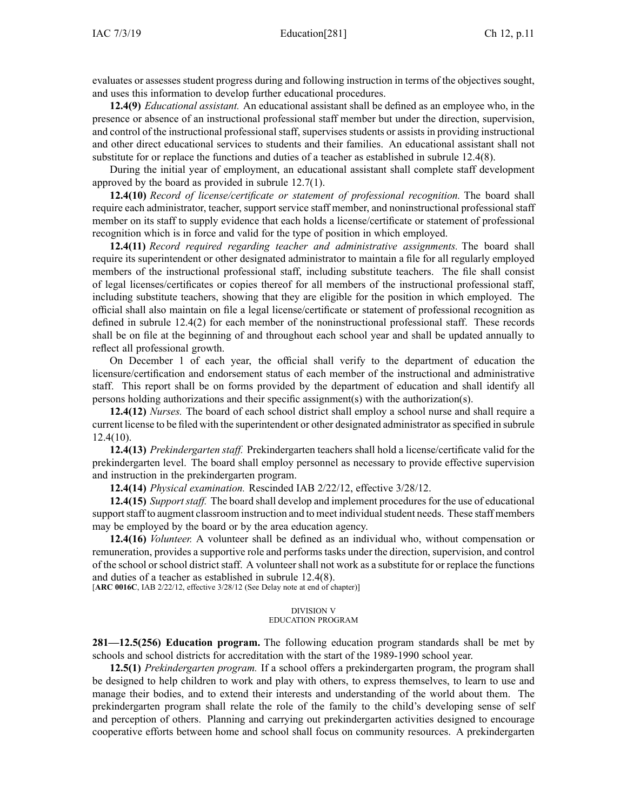evaluates or assesses student progress during and following instruction in terms of the objectives sought, and uses this information to develop further educational procedures.

**12.4(9)** *Educational assistant.* An educational assistant shall be defined as an employee who, in the presence or absence of an instructional professional staff member but under the direction, supervision, and control of the instructional professional staff, supervises students or assists in providing instructional and other direct educational services to students and their families. An educational assistant shall not substitute for or replace the functions and duties of <sup>a</sup> teacher as established in subrule [12.4\(8\)](https://www.legis.iowa.gov/docs/iac/rule/281.12.4.pdf).

During the initial year of employment, an educational assistant shall complete staff development approved by the board as provided in subrule [12.7\(1\)](https://www.legis.iowa.gov/docs/iac/rule/281.12.7.pdf).

**12.4(10)** *Record of license/certificate or statement of professional recognition.* The board shall require each administrator, teacher, suppor<sup>t</sup> service staff member, and noninstructional professional staff member on its staff to supply evidence that each holds <sup>a</sup> license/certificate or statement of professional recognition which is in force and valid for the type of position in which employed.

**12.4(11)** *Record required regarding teacher and administrative assignments.* The board shall require its superintendent or other designated administrator to maintain <sup>a</sup> file for all regularly employed members of the instructional professional staff, including substitute teachers. The file shall consist of legal licenses/certificates or copies thereof for all members of the instructional professional staff, including substitute teachers, showing that they are eligible for the position in which employed. The official shall also maintain on file <sup>a</sup> legal license/certificate or statement of professional recognition as defined in subrule [12.4\(2\)](https://www.legis.iowa.gov/docs/iac/rule/281.12.4.pdf) for each member of the noninstructional professional staff. These records shall be on file at the beginning of and throughout each school year and shall be updated annually to reflect all professional growth.

On December 1 of each year, the official shall verify to the department of education the licensure/certification and endorsement status of each member of the instructional and administrative staff. This repor<sup>t</sup> shall be on forms provided by the department of education and shall identify all persons holding authorizations and their specific assignment(s) with the authorization(s).

**12.4(12)** *Nurses.* The board of each school district shall employ <sup>a</sup> school nurse and shall require <sup>a</sup> current license to be filed with the superintendent or other designated administrator asspecified in subrule [12.4\(10\)](https://www.legis.iowa.gov/docs/iac/rule/281.12.4.pdf).

**12.4(13)** *Prekindergarten staff.* Prekindergarten teachers shall hold <sup>a</sup> license/certificate valid for the prekindergarten level. The board shall employ personnel as necessary to provide effective supervision and instruction in the prekindergarten program.

**12.4(14)** *Physical examination.* Rescinded IAB [2/22/12](https://www.legis.iowa.gov/docs/aco/bulletin/02-22-2012.pdf), effective 3/28/12.

**12.4(15)** *Support staff.* The board shall develop and implement procedures for the use of educational support staff to augment classroom instruction and to meet individual student needs. These staff members may be employed by the board or by the area education agency.

**12.4(16)** *Volunteer.* A volunteer shall be defined as an individual who, without compensation or remuneration, provides a supportive role and performs tasks under the direction, supervision, and control of the school orschool districtstaff. A volunteershall not work as <sup>a</sup> substitute for or replace the functions and duties of <sup>a</sup> teacher as established in subrule [12.4\(8\)](https://www.legis.iowa.gov/docs/iac/rule/281.12.4.pdf).

[**ARC [0016C](https://www.legis.iowa.gov/docs/aco/arc/0016C.pdf)**, IAB 2/22/12, effective 3/28/12 (See Delay note at end of chapter)]

### DIVISION V EDUCATION PROGRAM

**281—12.5(256) Education program.** The following education program standards shall be met by schools and school districts for accreditation with the start of the 1989-1990 school year.

**12.5(1)** *Prekindergarten program.* If <sup>a</sup> school offers <sup>a</sup> prekindergarten program, the program shall be designed to help children to work and play with others, to express themselves, to learn to use and manage their bodies, and to extend their interests and understanding of the world about them. The prekindergarten program shall relate the role of the family to the child's developing sense of self and perception of others. Planning and carrying out prekindergarten activities designed to encourage cooperative efforts between home and school shall focus on community resources. A prekindergarten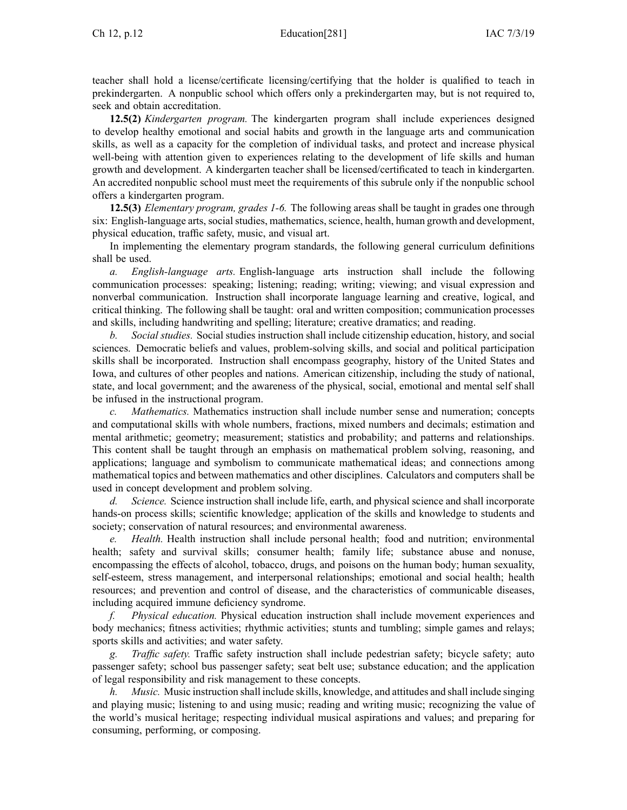teacher shall hold <sup>a</sup> license/certificate licensing/certifying that the holder is qualified to teach in prekindergarten. A nonpublic school which offers only <sup>a</sup> prekindergarten may, but is not required to, seek and obtain accreditation.

**12.5(2)** *Kindergarten program.* The kindergarten program shall include experiences designed to develop healthy emotional and social habits and growth in the language arts and communication skills, as well as <sup>a</sup> capacity for the completion of individual tasks, and protect and increase physical well-being with attention given to experiences relating to the development of life skills and human growth and development. A kindergarten teacher shall be licensed/certificated to teach in kindergarten. An accredited nonpublic school must meet the requirements of this subrule only if the nonpublic school offers <sup>a</sup> kindergarten program.

**12.5(3)** *Elementary program, grades 1-6.* The following areas shall be taught in grades one through six: English-language arts, social studies, mathematics, science, health, human growth and development, physical education, traffic safety, music, and visual art.

In implementing the elementary program standards, the following general curriculum definitions shall be used.

*a. English-language arts.* English-language arts instruction shall include the following communication processes: speaking; listening; reading; writing; viewing; and visual expression and nonverbal communication. Instruction shall incorporate language learning and creative, logical, and critical thinking. The following shall be taught: oral and written composition; communication processes and skills, including handwriting and spelling; literature; creative dramatics; and reading.

*b. Social studies.* Social studies instruction shall include citizenship education, history, and social sciences. Democratic beliefs and values, problem-solving skills, and social and political participation skills shall be incorporated. Instruction shall encompass geography, history of the United States and Iowa, and cultures of other peoples and nations. American citizenship, including the study of national, state, and local government; and the awareness of the physical, social, emotional and mental self shall be infused in the instructional program.

*c. Mathematics.* Mathematics instruction shall include number sense and numeration; concepts and computational skills with whole numbers, fractions, mixed numbers and decimals; estimation and mental arithmetic; geometry; measurement; statistics and probability; and patterns and relationships. This content shall be taught through an emphasis on mathematical problem solving, reasoning, and applications; language and symbolism to communicate mathematical ideas; and connections among mathematical topics and between mathematics and other disciplines. Calculators and computers shall be used in concep<sup>t</sup> development and problem solving.

*d. Science.* Science instruction shall include life, earth, and physical science and shall incorporate hands-on process skills; scientific knowledge; application of the skills and knowledge to students and society; conservation of natural resources; and environmental awareness.

*e. Health.* Health instruction shall include personal health; food and nutrition; environmental health; safety and survival skills; consumer health; family life; substance abuse and nonuse, encompassing the effects of alcohol, tobacco, drugs, and poisons on the human body; human sexuality, self-esteem, stress management, and interpersonal relationships; emotional and social health; health resources; and prevention and control of disease, and the characteristics of communicable diseases, including acquired immune deficiency syndrome.

*f. Physical education.* Physical education instruction shall include movement experiences and body mechanics; fitness activities; rhythmic activities; stunts and tumbling; simple games and relays; sports skills and activities; and water safety.

*g. Traffic safety.* Traffic safety instruction shall include pedestrian safety; bicycle safety; auto passenger safety; school bus passenger safety; seat belt use; substance education; and the application of legal responsibility and risk managemen<sup>t</sup> to these concepts.

*h. Music.* Music instruction shall include skills, knowledge, and attitudes and shall include singing and playing music; listening to and using music; reading and writing music; recognizing the value of the world's musical heritage; respecting individual musical aspirations and values; and preparing for consuming, performing, or composing.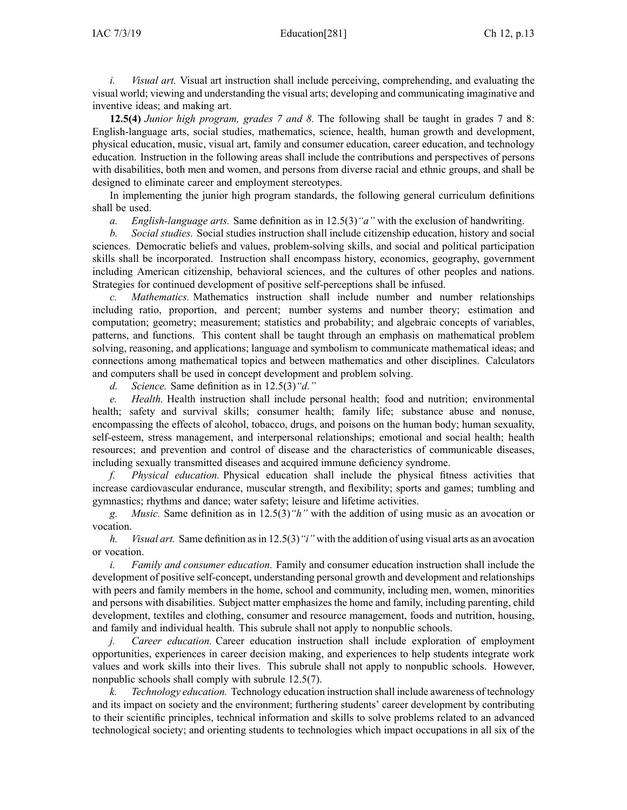*i. Visual art.* Visual art instruction shall include perceiving, comprehending, and evaluating the visual world; viewing and understanding the visual arts; developing and communicating imaginative and inventive ideas; and making art.

**12.5(4)** *Junior high program, grades 7 and 8.* The following shall be taught in grades 7 and 8: English-language arts, social studies, mathematics, science, health, human growth and development, physical education, music, visual art, family and consumer education, career education, and technology education. Instruction in the following areas shall include the contributions and perspectives of persons with disabilities, both men and women, and persons from diverse racial and ethnic groups, and shall be designed to eliminate career and employment stereotypes.

In implementing the junior high program standards, the following general curriculum definitions shall be used.

*a. English-language arts.* Same definition as in [12.5\(3\)](https://www.legis.iowa.gov/docs/iac/rule/281.12.5.pdf)*"a"* with the exclusion of handwriting.

*b. Social studies.* Social studies instruction shall include citizenship education, history and social sciences. Democratic beliefs and values, problem-solving skills, and social and political participation skills shall be incorporated. Instruction shall encompass history, economics, geography, governmen<sup>t</sup> including American citizenship, behavioral sciences, and the cultures of other peoples and nations. Strategies for continued development of positive self-perceptions shall be infused.

*c. Mathematics.* Mathematics instruction shall include number and number relationships including ratio, proportion, and percent; number systems and number theory; estimation and computation; geometry; measurement; statistics and probability; and algebraic concepts of variables, patterns, and functions. This content shall be taught through an emphasis on mathematical problem solving, reasoning, and applications; language and symbolism to communicate mathematical ideas; and connections among mathematical topics and between mathematics and other disciplines. Calculators and computers shall be used in concep<sup>t</sup> development and problem solving.

*d. Science.* Same definition as in [12.5\(3\)](https://www.legis.iowa.gov/docs/iac/rule/281.12.5.pdf)*"d."*

*e. Health.* Health instruction shall include personal health; food and nutrition; environmental health; safety and survival skills; consumer health; family life; substance abuse and nonuse, encompassing the effects of alcohol, tobacco, drugs, and poisons on the human body; human sexuality, self-esteem, stress management, and interpersonal relationships; emotional and social health; health resources; and prevention and control of disease and the characteristics of communicable diseases, including sexually transmitted diseases and acquired immune deficiency syndrome.

*f. Physical education.* Physical education shall include the physical fitness activities that increase cardiovascular endurance, muscular strength, and flexibility; sports and games; tumbling and gymnastics; rhythms and dance; water safety; leisure and lifetime activities.

*g. Music.* Same definition as in [12.5\(3\)](https://www.legis.iowa.gov/docs/iac/rule/281.12.5.pdf)*"h"* with the addition of using music as an avocation or vocation.

*h. Visual art.* Same definition asin [12.5\(3\)](https://www.legis.iowa.gov/docs/iac/rule/281.12.5.pdf)*"i"* with the addition of using visual arts as an avocation or vocation.

*i. Family and consumer education.* Family and consumer education instruction shall include the development of positive self-concept, understanding personal growth and development and relationships with peers and family members in the home, school and community, including men, women, minorities and persons with disabilities. Subject matter emphasizes the home and family, including parenting, child development, textiles and clothing, consumer and resource management, foods and nutrition, housing, and family and individual health. This subrule shall not apply to nonpublic schools.

*j. Career education.* Career education instruction shall include exploration of employment opportunities, experiences in career decision making, and experiences to help students integrate work values and work skills into their lives. This subrule shall not apply to nonpublic schools. However, nonpublic schools shall comply with subrule [12.5\(7\)](https://www.legis.iowa.gov/docs/iac/rule/281.12.5.pdf).

*k. Technology education.* Technology education instruction shall include awareness of technology and its impact on society and the environment; furthering students' career development by contributing to their scientific principles, technical information and skills to solve problems related to an advanced technological society; and orienting students to technologies which impact occupations in all six of the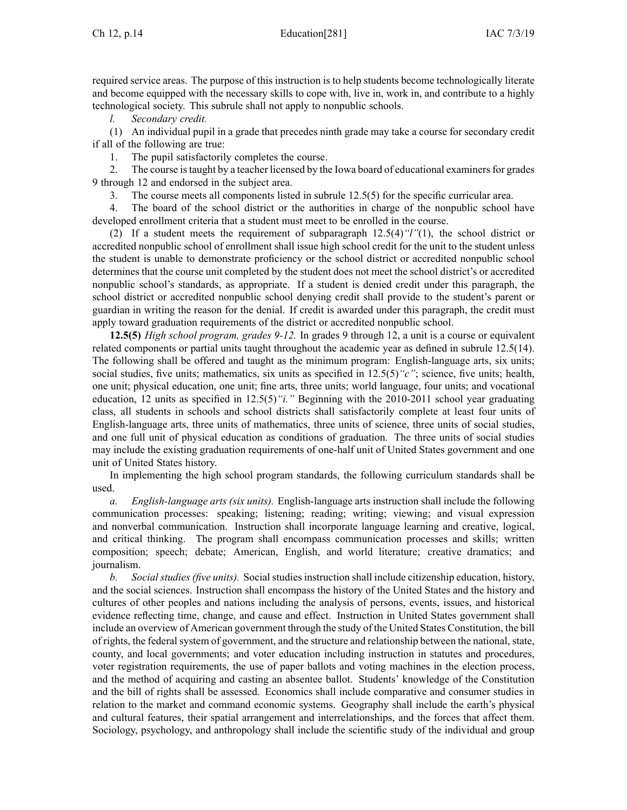required service areas. The purpose of this instruction is to help students become technologically literate and become equipped with the necessary skills to cope with, live in, work in, and contribute to <sup>a</sup> highly technological society. This subrule shall not apply to nonpublic schools.

*l. Secondary credit.*

(1) An individual pupil in <sup>a</sup> grade that precedes ninth grade may take <sup>a</sup> course for secondary credit if all of the following are true:

1. The pupil satisfactorily completes the course.

2. The course istaught by <sup>a</sup> teacher licensed by the Iowa board of educational examinersfor grades 9 through 12 and endorsed in the subject area.

3. The course meets all components listed in subrule 12.5(5) for the specific curricular area.

4. The board of the school district or the authorities in charge of the nonpublic school have developed enrollment criteria that <sup>a</sup> student must meet to be enrolled in the course.

(2) If <sup>a</sup> student meets the requirement of [subparagraph](https://www.legis.iowa.gov/docs/iac/rule/281.12.5.pdf) 12.5(4)*"l"*(1), the school district or accredited nonpublic school of enrollment shall issue high school credit for the unit to the student unless the student is unable to demonstrate proficiency or the school district or accredited nonpublic school determines that the course unit completed by the student does not meet the school district's or accredited nonpublic school's standards, as appropriate. If <sup>a</sup> student is denied credit under this paragraph, the school district or accredited nonpublic school denying credit shall provide to the student's paren<sup>t</sup> or guardian in writing the reason for the denial. If credit is awarded under this paragraph, the credit must apply toward graduation requirements of the district or accredited nonpublic school.

**12.5(5)** *High school program, grades 9-12.* In grades 9 through 12, <sup>a</sup> unit is <sup>a</sup> course or equivalent related components or partial units taught throughout the academic year as defined in subrule [12.5\(14\)](https://www.legis.iowa.gov/docs/iac/rule/281.12.5.pdf). The following shall be offered and taught as the minimum program: English-language arts, six units; social studies, five units; mathematics, six units as specified in  $12.5(5)$  "c"; science, five units; health, one unit; physical education, one unit; fine arts, three units; world language, four units; and vocational education, 12 units as specified in [12.5\(5\)](https://www.legis.iowa.gov/docs/iac/rule/281.12.5.pdf)*"i."* Beginning with the 2010-2011 school year graduating class, all students in schools and school districts shall satisfactorily complete at least four units of English-language arts, three units of mathematics, three units of science, three units of social studies, and one full unit of physical education as conditions of graduation. The three units of social studies may include the existing graduation requirements of one-half unit of United States governmen<sup>t</sup> and one unit of United States history.

In implementing the high school program standards, the following curriculum standards shall be used.

*a. English-language arts (six units).* English-language arts instruction shall include the following communication processes: speaking; listening; reading; writing; viewing; and visual expression and nonverbal communication. Instruction shall incorporate language learning and creative, logical, and critical thinking. The program shall encompass communication processes and skills; written composition; speech; debate; American, English, and world literature; creative dramatics; and journalism.

*b. Social studies (five units).* Social studies instruction shall include citizenship education, history, and the social sciences. Instruction shall encompass the history of the United States and the history and cultures of other peoples and nations including the analysis of persons, events, issues, and historical evidence reflecting time, change, and cause and effect. Instruction in United States governmen<sup>t</sup> shall include an overview of American governmen<sup>t</sup> through the study of the United States Constitution, the bill of rights, the federal system of government, and the structure and relationship between the national, state, county, and local governments; and voter education including instruction in statutes and procedures, voter registration requirements, the use of paper ballots and voting machines in the election process, and the method of acquiring and casting an absentee ballot. Students' knowledge of the Constitution and the bill of rights shall be assessed. Economics shall include comparative and consumer studies in relation to the market and command economic systems. Geography shall include the earth's physical and cultural features, their spatial arrangemen<sup>t</sup> and interrelationships, and the forces that affect them. Sociology, psychology, and anthropology shall include the scientific study of the individual and group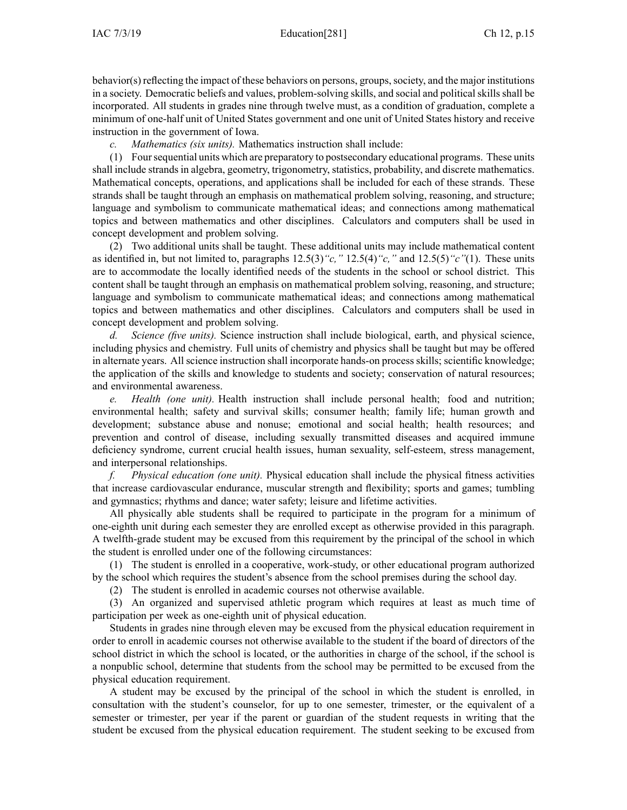behavior(s) reflecting the impact of these behaviors on persons, groups, society, and the major institutions in a society. Democratic beliefs and values, problem-solving skills, and social and political skills shall be incorporated. All students in grades nine through twelve must, as <sup>a</sup> condition of graduation, complete <sup>a</sup> minimum of one-half unit of United States governmen<sup>t</sup> and one unit of United States history and receive instruction in the governmen<sup>t</sup> of Iowa.

*c. Mathematics (six units).* Mathematics instruction shall include:

(1) Foursequential units which are preparatory to postsecondary educational programs. These units shall include strandsin algebra, geometry, trigonometry, statistics, probability, and discrete mathematics. Mathematical concepts, operations, and applications shall be included for each of these strands. These strands shall be taught through an emphasis on mathematical problem solving, reasoning, and structure; language and symbolism to communicate mathematical ideas; and connections among mathematical topics and between mathematics and other disciplines. Calculators and computers shall be used in concep<sup>t</sup> development and problem solving.

(2) Two additional units shall be taught. These additional units may include mathematical content as identified in, but not limited to, paragraphs [12.5\(3\)](https://www.legis.iowa.gov/docs/iac/rule/281.12.5.pdf)*"c,"* [12.5\(4\)](https://www.legis.iowa.gov/docs/iac/rule/281.12.5.pdf)*"c,"* and [12.5\(5\)](https://www.legis.iowa.gov/docs/iac/rule/281.12.5.pdf)*"c"*(1). These units are to accommodate the locally identified needs of the students in the school or school district. This content shall be taught through an emphasis on mathematical problem solving, reasoning, and structure; language and symbolism to communicate mathematical ideas; and connections among mathematical topics and between mathematics and other disciplines. Calculators and computers shall be used in concep<sup>t</sup> development and problem solving.

*d. Science (five units).* Science instruction shall include biological, earth, and physical science, including physics and chemistry. Full units of chemistry and physics shall be taught but may be offered in alternate years. Allscience instruction shall incorporate hands-on processskills; scientific knowledge; the application of the skills and knowledge to students and society; conservation of natural resources; and environmental awareness.

*e. Health (one unit).* Health instruction shall include personal health; food and nutrition; environmental health; safety and survival skills; consumer health; family life; human growth and development; substance abuse and nonuse; emotional and social health; health resources; and prevention and control of disease, including sexually transmitted diseases and acquired immune deficiency syndrome, current crucial health issues, human sexuality, self-esteem, stress management, and interpersonal relationships.

*f. Physical education (one unit).* Physical education shall include the physical fitness activities that increase cardiovascular endurance, muscular strength and flexibility; sports and games; tumbling and gymnastics; rhythms and dance; water safety; leisure and lifetime activities.

All physically able students shall be required to participate in the program for <sup>a</sup> minimum of one-eighth unit during each semester they are enrolled excep<sup>t</sup> as otherwise provided in this paragraph. A twelfth-grade student may be excused from this requirement by the principal of the school in which the student is enrolled under one of the following circumstances:

(1) The student is enrolled in <sup>a</sup> cooperative, work-study, or other educational program authorized by the school which requires the student's absence from the school premises during the school day.

(2) The student is enrolled in academic courses not otherwise available.

(3) An organized and supervised athletic program which requires at least as much time of participation per week as one-eighth unit of physical education.

Students in grades nine through eleven may be excused from the physical education requirement in order to enroll in academic courses not otherwise available to the student if the board of directors of the school district in which the school is located, or the authorities in charge of the school, if the school is <sup>a</sup> nonpublic school, determine that students from the school may be permitted to be excused from the physical education requirement.

A student may be excused by the principal of the school in which the student is enrolled, in consultation with the student's counselor, for up to one semester, trimester, or the equivalent of <sup>a</sup> semester or trimester, per year if the paren<sup>t</sup> or guardian of the student requests in writing that the student be excused from the physical education requirement. The student seeking to be excused from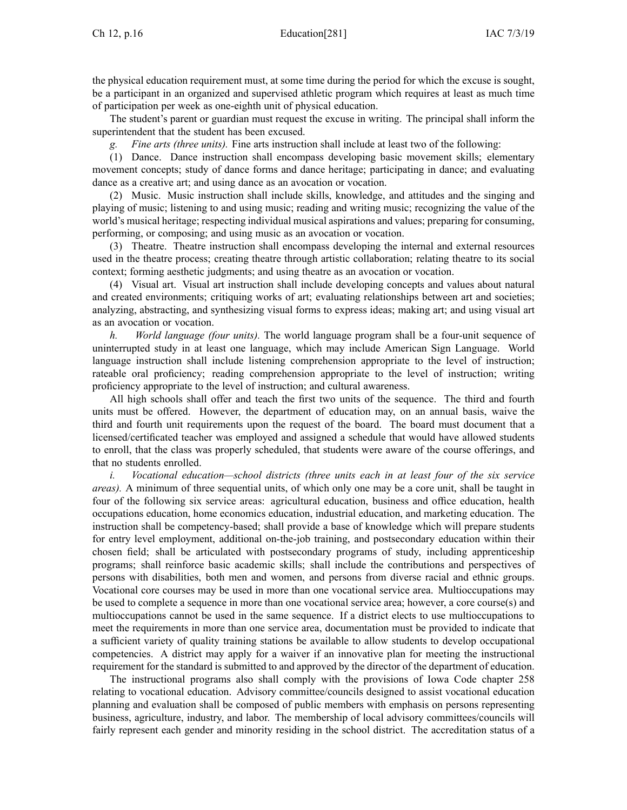the physical education requirement must, at some time during the period for which the excuse is sought, be <sup>a</sup> participant in an organized and supervised athletic program which requires at least as much time of participation per week as one-eighth unit of physical education.

The student's paren<sup>t</sup> or guardian must reques<sup>t</sup> the excuse in writing. The principal shall inform the superintendent that the student has been excused.

*g. Fine arts (three units).* Fine arts instruction shall include at least two of the following:

(1) Dance. Dance instruction shall encompass developing basic movement skills; elementary movement concepts; study of dance forms and dance heritage; participating in dance; and evaluating dance as <sup>a</sup> creative art; and using dance as an avocation or vocation.

(2) Music. Music instruction shall include skills, knowledge, and attitudes and the singing and playing of music; listening to and using music; reading and writing music; recognizing the value of the world's musical heritage; respecting individual musical aspirations and values; preparing for consuming, performing, or composing; and using music as an avocation or vocation.

(3) Theatre. Theatre instruction shall encompass developing the internal and external resources used in the theatre process; creating theatre through artistic collaboration; relating theatre to its social context; forming aesthetic judgments; and using theatre as an avocation or vocation.

(4) Visual art. Visual art instruction shall include developing concepts and values about natural and created environments; critiquing works of art; evaluating relationships between art and societies; analyzing, abstracting, and synthesizing visual forms to express ideas; making art; and using visual art as an avocation or vocation.

*h. World language (four units).* The world language program shall be <sup>a</sup> four-unit sequence of uninterrupted study in at least one language, which may include American Sign Language. World language instruction shall include listening comprehension appropriate to the level of instruction; rateable oral proficiency; reading comprehension appropriate to the level of instruction; writing proficiency appropriate to the level of instruction; and cultural awareness.

All high schools shall offer and teach the first two units of the sequence. The third and fourth units must be offered. However, the department of education may, on an annual basis, waive the third and fourth unit requirements upon the reques<sup>t</sup> of the board. The board must document that <sup>a</sup> licensed/certificated teacher was employed and assigned <sup>a</sup> schedule that would have allowed students to enroll, that the class was properly scheduled, that students were aware of the course offerings, and that no students enrolled.

*i. Vocational education—school districts (three units each in at least four of the six service areas).* A minimum of three sequential units, of which only one may be <sup>a</sup> core unit, shall be taught in four of the following six service areas: agricultural education, business and office education, health occupations education, home economics education, industrial education, and marketing education. The instruction shall be competency-based; shall provide <sup>a</sup> base of knowledge which will prepare students for entry level employment, additional on-the-job training, and postsecondary education within their chosen field; shall be articulated with postsecondary programs of study, including apprenticeship programs; shall reinforce basic academic skills; shall include the contributions and perspectives of persons with disabilities, both men and women, and persons from diverse racial and ethnic groups. Vocational core courses may be used in more than one vocational service area. Multioccupations may be used to complete <sup>a</sup> sequence in more than one vocational service area; however, <sup>a</sup> core course(s) and multioccupations cannot be used in the same sequence. If <sup>a</sup> district elects to use multioccupations to meet the requirements in more than one service area, documentation must be provided to indicate that <sup>a</sup> sufficient variety of quality training stations be available to allow students to develop occupational competencies. A district may apply for <sup>a</sup> waiver if an innovative plan for meeting the instructional requirement for the standard is submitted to and approved by the director of the department of education.

The instructional programs also shall comply with the provisions of Iowa Code chapter [258](https://www.legis.iowa.gov/docs/ico/chapter/258.pdf) relating to vocational education. Advisory committee/councils designed to assist vocational education planning and evaluation shall be composed of public members with emphasis on persons representing business, agriculture, industry, and labor. The membership of local advisory committees/councils will fairly represen<sup>t</sup> each gender and minority residing in the school district. The accreditation status of <sup>a</sup>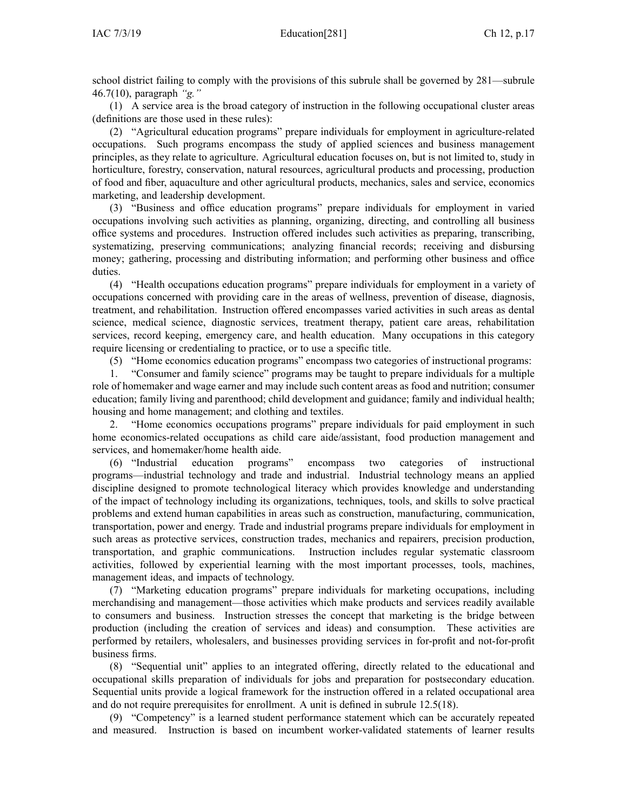school district failing to comply with the provisions of this subrule shall be governed by [281—subrule](https://www.legis.iowa.gov/docs/iac/rule/281.46.7.pdf) [46.7\(10\),](https://www.legis.iowa.gov/docs/iac/rule/281.46.7.pdf) paragraph *"g."*

(1) A service area is the broad category of instruction in the following occupational cluster areas (definitions are those used in these rules):

(2) "Agricultural education programs" prepare individuals for employment in agriculture-related occupations. Such programs encompass the study of applied sciences and business managemen<sup>t</sup> principles, as they relate to agriculture. Agricultural education focuses on, but is not limited to, study in horticulture, forestry, conservation, natural resources, agricultural products and processing, production of food and fiber, aquaculture and other agricultural products, mechanics, sales and service, economics marketing, and leadership development.

(3) "Business and office education programs" prepare individuals for employment in varied occupations involving such activities as planning, organizing, directing, and controlling all business office systems and procedures. Instruction offered includes such activities as preparing, transcribing, systematizing, preserving communications; analyzing financial records; receiving and disbursing money; gathering, processing and distributing information; and performing other business and office duties.

(4) "Health occupations education programs" prepare individuals for employment in <sup>a</sup> variety of occupations concerned with providing care in the areas of wellness, prevention of disease, diagnosis, treatment, and rehabilitation. Instruction offered encompasses varied activities in such areas as dental science, medical science, diagnostic services, treatment therapy, patient care areas, rehabilitation services, record keeping, emergency care, and health education. Many occupations in this category require licensing or credentialing to practice, or to use <sup>a</sup> specific title.

(5) "Home economics education programs" encompass two categories of instructional programs:

1. "Consumer and family science" programs may be taught to prepare individuals for <sup>a</sup> multiple role of homemaker and wage earner and may include such content areas as food and nutrition; consumer education; family living and parenthood; child development and guidance; family and individual health; housing and home management; and clothing and textiles.

2. "Home economics occupations programs" prepare individuals for paid employment in such home economics-related occupations as child care aide/assistant, food production managemen<sup>t</sup> and services, and homemaker/home health aide.

(6) "Industrial education programs" encompass two categories of instructional programs—industrial technology and trade and industrial. Industrial technology means an applied discipline designed to promote technological literacy which provides knowledge and understanding of the impact of technology including its organizations, techniques, tools, and skills to solve practical problems and extend human capabilities in areas such as construction, manufacturing, communication, transportation, power and energy. Trade and industrial programs prepare individuals for employment in such areas as protective services, construction trades, mechanics and repairers, precision production, transportation, and graphic communications. Instruction includes regular systematic classroom activities, followed by experiential learning with the most important processes, tools, machines, managemen<sup>t</sup> ideas, and impacts of technology.

(7) "Marketing education programs" prepare individuals for marketing occupations, including merchandising and management—those activities which make products and services readily available to consumers and business. Instruction stresses the concep<sup>t</sup> that marketing is the bridge between production (including the creation of services and ideas) and consumption. These activities are performed by retailers, wholesalers, and businesses providing services in for-profit and not-for-profit business firms.

(8) "Sequential unit" applies to an integrated offering, directly related to the educational and occupational skills preparation of individuals for jobs and preparation for postsecondary education. Sequential units provide <sup>a</sup> logical framework for the instruction offered in <sup>a</sup> related occupational area and do not require prerequisites for enrollment. A unit is defined in subrule [12.5\(18\)](https://www.legis.iowa.gov/docs/iac/rule/281.12.5.pdf).

(9) "Competency" is <sup>a</sup> learned student performance statement which can be accurately repeated and measured. Instruction is based on incumbent worker-validated statements of learner results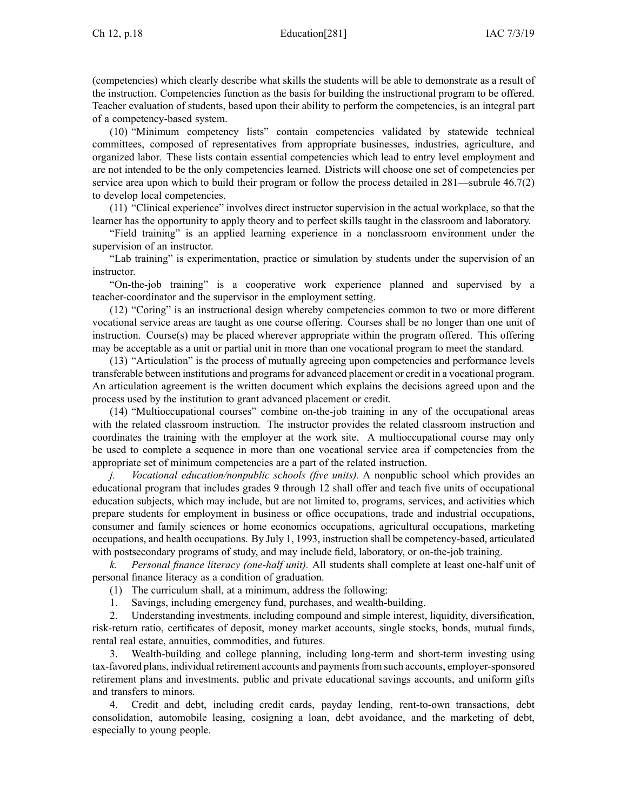(competencies) which clearly describe what skills the students will be able to demonstrate as <sup>a</sup> result of the instruction. Competencies function as the basis for building the instructional program to be offered. Teacher evaluation of students, based upon their ability to perform the competencies, is an integral par<sup>t</sup> of <sup>a</sup> competency-based system.

(10) "Minimum competency lists" contain competencies validated by statewide technical committees, composed of representatives from appropriate businesses, industries, agriculture, and organized labor. These lists contain essential competencies which lead to entry level employment and are not intended to be the only competencies learned. Districts will choose one set of competencies per service area upon which to build their program or follow the process detailed in [281—subrule](https://www.legis.iowa.gov/docs/iac/rule/281.46.7.pdf) 46.7(2) to develop local competencies.

(11) "Clinical experience" involves direct instructor supervision in the actual workplace, so that the learner has the opportunity to apply theory and to perfect skills taught in the classroom and laboratory.

"Field training" is an applied learning experience in <sup>a</sup> nonclassroom environment under the supervision of an instructor.

"Lab training" is experimentation, practice or simulation by students under the supervision of an instructor.

"On-the-job training" is <sup>a</sup> cooperative work experience planned and supervised by <sup>a</sup> teacher-coordinator and the supervisor in the employment setting.

(12) "Coring" is an instructional design whereby competencies common to two or more different vocational service areas are taught as one course offering. Courses shall be no longer than one unit of instruction. Course(s) may be placed wherever appropriate within the program offered. This offering may be acceptable as <sup>a</sup> unit or partial unit in more than one vocational program to meet the standard.

(13) "Articulation" is the process of mutually agreeing upon competencies and performance levels transferable between institutions and programs for advanced placement or credit in a vocational program. An articulation agreemen<sup>t</sup> is the written document which explains the decisions agreed upon and the process used by the institution to gran<sup>t</sup> advanced placement or credit.

(14) "Multioccupational courses" combine on-the-job training in any of the occupational areas with the related classroom instruction. The instructor provides the related classroom instruction and coordinates the training with the employer at the work site. A multioccupational course may only be used to complete <sup>a</sup> sequence in more than one vocational service area if competencies from the appropriate set of minimum competencies are <sup>a</sup> par<sup>t</sup> of the related instruction.

*j. Vocational education/nonpublic schools (five units).* A nonpublic school which provides an educational program that includes grades 9 through 12 shall offer and teach five units of occupational education subjects, which may include, but are not limited to, programs, services, and activities which prepare students for employment in business or office occupations, trade and industrial occupations, consumer and family sciences or home economics occupations, agricultural occupations, marketing occupations, and health occupations. By July 1, 1993, instruction shall be competency-based, articulated with postsecondary programs of study, and may include field, laboratory, or on-the-job training.

*k. Personal finance literacy (one-half unit).* All students shall complete at least one-half unit of personal finance literacy as <sup>a</sup> condition of graduation.

(1) The curriculum shall, at <sup>a</sup> minimum, address the following:

1. Savings, including emergency fund, purchases, and wealth-building.

2. Understanding investments, including compound and simple interest, liquidity, diversification, risk-return ratio, certificates of deposit, money market accounts, single stocks, bonds, mutual funds, rental real estate, annuities, commodities, and futures.

3. Wealth-building and college planning, including long-term and short-term investing using tax-favored plans, individual retirement accounts and paymentsfrom such accounts, employer-sponsored retirement plans and investments, public and private educational savings accounts, and uniform gifts and transfers to minors.

4. Credit and debt, including credit cards, payday lending, rent-to-own transactions, debt consolidation, automobile leasing, cosigning <sup>a</sup> loan, debt avoidance, and the marketing of debt, especially to young people.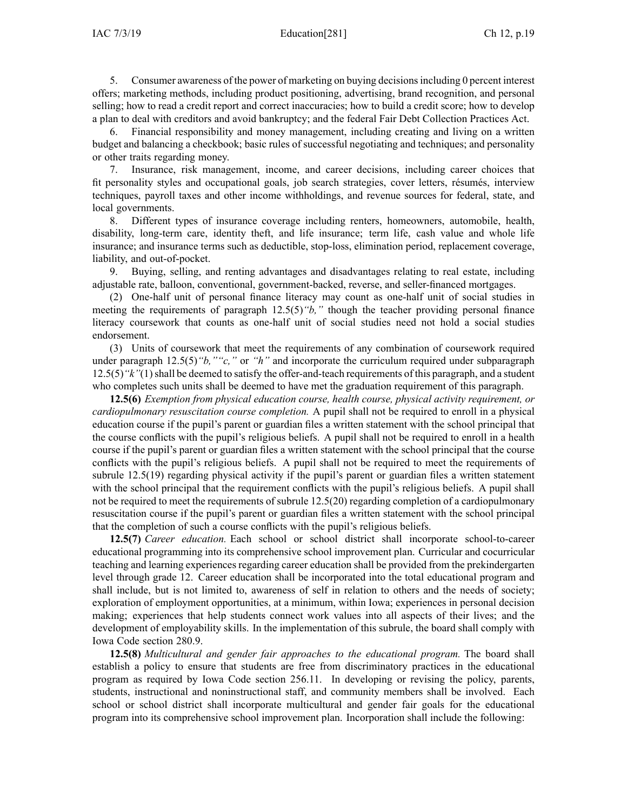IAC 7/3/19 Education[281] Ch 12, p.19

5. Consumer awareness of the power of marketing on buying decisionsincluding 0 percen<sup>t</sup> interest offers; marketing methods, including product positioning, advertising, brand recognition, and personal selling; how to read <sup>a</sup> credit repor<sup>t</sup> and correct inaccuracies; how to build <sup>a</sup> credit score; how to develop <sup>a</sup> plan to deal with creditors and avoid bankruptcy; and the federal Fair Debt Collection Practices Act.

6. Financial responsibility and money management, including creating and living on <sup>a</sup> written budget and balancing <sup>a</sup> checkbook; basic rules of successful negotiating and techniques; and personality or other traits regarding money.

7. Insurance, risk management, income, and career decisions, including career choices that fit personality styles and occupational goals, job search strategies, cover letters, résumés, interview techniques, payroll taxes and other income withholdings, and revenue sources for federal, state, and local governments.

8. Different types of insurance coverage including renters, homeowners, automobile, health, disability, long-term care, identity theft, and life insurance; term life, cash value and whole life insurance; and insurance terms such as deductible, stop-loss, elimination period, replacement coverage, liability, and out-of-pocket.

9. Buying, selling, and renting advantages and disadvantages relating to real estate, including adjustable rate, balloon, conventional, government-backed, reverse, and seller-financed mortgages.

(2) One-half unit of personal finance literacy may count as one-half unit of social studies in meeting the requirements of paragraph [12.5\(5\)](https://www.legis.iowa.gov/docs/iac/rule/281.12.5.pdf)*"b,"* though the teacher providing personal finance literacy coursework that counts as one-half unit of social studies need not hold <sup>a</sup> social studies endorsement.

(3) Units of coursework that meet the requirements of any combination of coursework required under paragraph [12.5\(5\)](https://www.legis.iowa.gov/docs/iac/rule/281.12.5.pdf) "*b*, ""c," or "*h*" and incorporate the curriculum required under [subparagraph](https://www.legis.iowa.gov/docs/iac/rule/281.12.5.pdf) [12.5\(5\)](https://www.legis.iowa.gov/docs/iac/rule/281.12.5.pdf)*"k"*(1)shall be deemed to satisfy the offer-and-teach requirements of this paragraph, and <sup>a</sup> student who completes such units shall be deemed to have met the graduation requirement of this paragraph.

**12.5(6)** *Exemption from physical education course, health course, physical activity requirement, or cardiopulmonary resuscitation course completion.* A pupil shall not be required to enroll in <sup>a</sup> physical education course if the pupil's paren<sup>t</sup> or guardian files <sup>a</sup> written statement with the school principal that the course conflicts with the pupil's religious beliefs. A pupil shall not be required to enroll in <sup>a</sup> health course if the pupil's paren<sup>t</sup> or guardian files <sup>a</sup> written statement with the school principal that the course conflicts with the pupil's religious beliefs. A pupil shall not be required to meet the requirements of subrule [12.5\(19\)](https://www.legis.iowa.gov/docs/iac/rule/281.12.5.pdf) regarding physical activity if the pupil's paren<sup>t</sup> or guardian files <sup>a</sup> written statement with the school principal that the requirement conflicts with the pupil's religious beliefs. A pupil shall not be required to meet the requirements of subrule [12.5\(20\)](https://www.legis.iowa.gov/docs/iac/rule/281.12.5.pdf) regarding completion of <sup>a</sup> cardiopulmonary resuscitation course if the pupil's paren<sup>t</sup> or guardian files <sup>a</sup> written statement with the school principal that the completion of such <sup>a</sup> course conflicts with the pupil's religious beliefs.

**12.5(7)** *Career education.* Each school or school district shall incorporate school-to-career educational programming into its comprehensive school improvement plan. Curricular and cocurricular teaching and learning experiences regarding career education shall be provided from the prekindergarten level through grade 12. Career education shall be incorporated into the total educational program and shall include, but is not limited to, awareness of self in relation to others and the needs of society; exploration of employment opportunities, at <sup>a</sup> minimum, within Iowa; experiences in personal decision making; experiences that help students connect work values into all aspects of their lives; and the development of employability skills. In the implementation of this subrule, the board shall comply with Iowa Code section [280.9](https://www.legis.iowa.gov/docs/ico/section/280.9.pdf).

**12.5(8)** *Multicultural and gender fair approaches to the educational program.* The board shall establish <sup>a</sup> policy to ensure that students are free from discriminatory practices in the educational program as required by Iowa Code section [256.11](https://www.legis.iowa.gov/docs/ico/section/256.11.pdf). In developing or revising the policy, parents, students, instructional and noninstructional staff, and community members shall be involved. Each school or school district shall incorporate multicultural and gender fair goals for the educational program into its comprehensive school improvement plan. Incorporation shall include the following: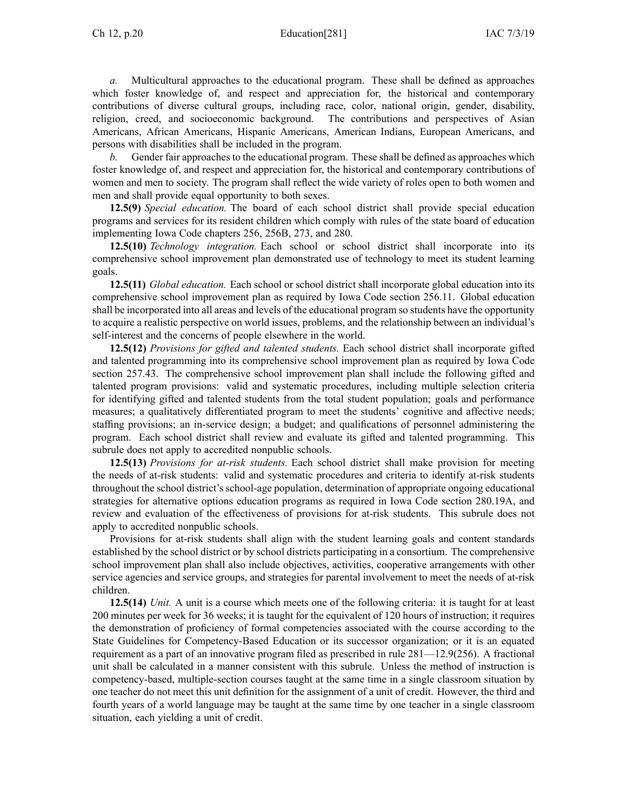### Ch 12, p.20 Education[281] IAC 7/3/19

*a.* Multicultural approaches to the educational program. These shall be defined as approaches which foster knowledge of, and respec<sup>t</sup> and appreciation for, the historical and contemporary contributions of diverse cultural groups, including race, color, national origin, gender, disability, religion, creed, and socioeconomic background. The contributions and perspectives of Asian Americans, African Americans, Hispanic Americans, American Indians, European Americans, and persons with disabilities shall be included in the program.

*b.* Gender fair approaches to the educational program. These shall be defined as approaches which foster knowledge of, and respec<sup>t</sup> and appreciation for, the historical and contemporary contributions of women and men to society. The program shall reflect the wide variety of roles open to both women and men and shall provide equal opportunity to both sexes.

**12.5(9)** *Special education.* The board of each school district shall provide special education programs and services for its resident children which comply with rules of the state board of education implementing Iowa Code chapters [256](https://www.legis.iowa.gov/docs/ico/chapter/256.pdf), [256B](https://www.legis.iowa.gov/docs/ico/chapter/256B.pdf), [273](https://www.legis.iowa.gov/docs/ico/chapter/273.pdf), and [280](https://www.legis.iowa.gov/docs/ico/chapter/280.pdf).

**12.5(10)** *Technology integration.* Each school or school district shall incorporate into its comprehensive school improvement plan demonstrated use of technology to meet its student learning goals.

**12.5(11)** *Global education.* Each school or school district shall incorporate global education into its comprehensive school improvement plan as required by Iowa Code section [256.11](https://www.legis.iowa.gov/docs/ico/section/256.11.pdf). Global education shall be incorporated into all areas and levels of the educational program so students have the opportunity to acquire <sup>a</sup> realistic perspective on world issues, problems, and the relationship between an individual's self-interest and the concerns of people elsewhere in the world.

**12.5(12)** *Provisions for gifted and talented students.* Each school district shall incorporate gifted and talented programming into its comprehensive school improvement plan as required by Iowa Code section [257.43](https://www.legis.iowa.gov/docs/ico/section/257.43.pdf). The comprehensive school improvement plan shall include the following gifted and talented program provisions: valid and systematic procedures, including multiple selection criteria for identifying gifted and talented students from the total student population; goals and performance measures; <sup>a</sup> qualitatively differentiated program to meet the students' cognitive and affective needs; staffing provisions; an in-service design; <sup>a</sup> budget; and qualifications of personnel administering the program. Each school district shall review and evaluate its gifted and talented programming. This subrule does not apply to accredited nonpublic schools.

**12.5(13)** *Provisions for at-risk students.* Each school district shall make provision for meeting the needs of at-risk students: valid and systematic procedures and criteria to identify at-risk students throughout the school district'sschool-age population, determination of appropriate ongoing educational strategies for alternative options education programs as required in Iowa Code section [280.19A](https://www.legis.iowa.gov/docs/ico/section/280.19A.pdf), and review and evaluation of the effectiveness of provisions for at-risk students. This subrule does not apply to accredited nonpublic schools.

Provisions for at-risk students shall align with the student learning goals and content standards established by the school district or by school districts participating in <sup>a</sup> consortium. The comprehensive school improvement plan shall also include objectives, activities, cooperative arrangements with other service agencies and service groups, and strategies for parental involvement to meet the needs of at-risk children.

**12.5(14)** *Unit.* A unit is <sup>a</sup> course which meets one of the following criteria: it is taught for at least 200 minutes per week for 36 weeks; it is taught for the equivalent of 120 hours of instruction; it requires the demonstration of proficiency of formal competencies associated with the course according to the State Guidelines for Competency-Based Education or its successor organization; or it is an equated requirement as <sup>a</sup> par<sup>t</sup> of an innovative program filed as prescribed in rule [281—12.9](https://www.legis.iowa.gov/docs/iac/rule/281.12.9.pdf)(256). A fractional unit shall be calculated in <sup>a</sup> manner consistent with this subrule. Unless the method of instruction is competency-based, multiple-section courses taught at the same time in <sup>a</sup> single classroom situation by one teacher do not meet this unit definition for the assignment of <sup>a</sup> unit of credit. However, the third and fourth years of <sup>a</sup> world language may be taught at the same time by one teacher in <sup>a</sup> single classroom situation, each yielding <sup>a</sup> unit of credit.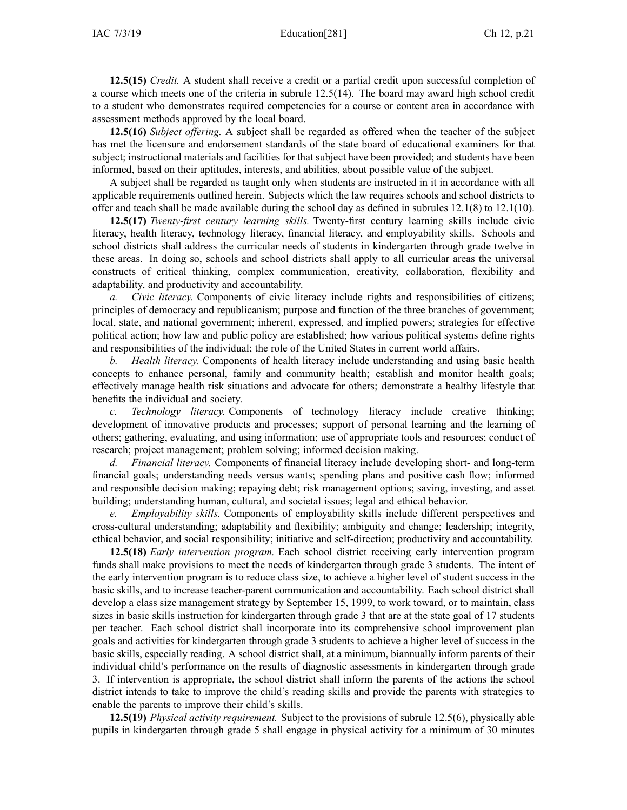**12.5(15)** *Credit.* A student shall receive <sup>a</sup> credit or <sup>a</sup> partial credit upon successful completion of <sup>a</sup> course which meets one of the criteria in subrule [12.5\(14\)](https://www.legis.iowa.gov/docs/iac/rule/281.12.5.pdf). The board may award high school credit to <sup>a</sup> student who demonstrates required competencies for <sup>a</sup> course or content area in accordance with assessment methods approved by the local board.

**12.5(16)** *Subject offering.* A subject shall be regarded as offered when the teacher of the subject has met the licensure and endorsement standards of the state board of educational examiners for that subject; instructional materials and facilities for that subject have been provided; and students have been informed, based on their aptitudes, interests, and abilities, about possible value of the subject.

A subject shall be regarded as taught only when students are instructed in it in accordance with all applicable requirements outlined herein. Subjects which the law requires schools and school districts to offer and teach shall be made available during the school day as defined in subrules [12.1\(8\)](https://www.legis.iowa.gov/docs/iac/rule/281.12.1.pdf) to [12.1\(10\)](https://www.legis.iowa.gov/docs/iac/rule/281.12.1.pdf).

**12.5(17)** *Twenty-first century learning skills.* Twenty-first century learning skills include civic literacy, health literacy, technology literacy, financial literacy, and employability skills. Schools and school districts shall address the curricular needs of students in kindergarten through grade twelve in these areas. In doing so, schools and school districts shall apply to all curricular areas the universal constructs of critical thinking, complex communication, creativity, collaboration, flexibility and adaptability, and productivity and accountability.

*a. Civic literacy.* Components of civic literacy include rights and responsibilities of citizens; principles of democracy and republicanism; purpose and function of the three branches of government; local, state, and national government; inherent, expressed, and implied powers; strategies for effective political action; how law and public policy are established; how various political systems define rights and responsibilities of the individual; the role of the United States in current world affairs.

*b. Health literacy.* Components of health literacy include understanding and using basic health concepts to enhance personal, family and community health; establish and monitor health goals; effectively manage health risk situations and advocate for others; demonstrate <sup>a</sup> healthy lifestyle that benefits the individual and society.

*c. Technology literacy.* Components of technology literacy include creative thinking; development of innovative products and processes; suppor<sup>t</sup> of personal learning and the learning of others; gathering, evaluating, and using information; use of appropriate tools and resources; conduct of research; project management; problem solving; informed decision making.

*d. Financial literacy.* Components of financial literacy include developing short- and long-term financial goals; understanding needs versus wants; spending plans and positive cash flow; informed and responsible decision making; repaying debt; risk managemen<sup>t</sup> options; saving, investing, and asset building; understanding human, cultural, and societal issues; legal and ethical behavior.

*e. Employability skills.* Components of employability skills include different perspectives and cross-cultural understanding; adaptability and flexibility; ambiguity and change; leadership; integrity, ethical behavior, and social responsibility; initiative and self-direction; productivity and accountability.

**12.5(18)** *Early intervention program.* Each school district receiving early intervention program funds shall make provisions to meet the needs of kindergarten through grade 3 students. The intent of the early intervention program is to reduce class size, to achieve <sup>a</sup> higher level of student success in the basic skills, and to increase teacher-parent communication and accountability. Each school district shall develop <sup>a</sup> class size managemen<sup>t</sup> strategy by September 15, 1999, to work toward, or to maintain, class sizes in basic skills instruction for kindergarten through grade 3 that are at the state goal of 17 students per teacher. Each school district shall incorporate into its comprehensive school improvement plan goals and activities for kindergarten through grade 3 students to achieve <sup>a</sup> higher level of success in the basic skills, especially reading. A school district shall, at <sup>a</sup> minimum, biannually inform parents of their individual child's performance on the results of diagnostic assessments in kindergarten through grade 3. If intervention is appropriate, the school district shall inform the parents of the actions the school district intends to take to improve the child's reading skills and provide the parents with strategies to enable the parents to improve their child's skills.

**12.5(19)** *Physical activity requirement.* Subject to the provisions of subrule [12.5\(6\)](https://www.legis.iowa.gov/docs/iac/rule/281.12.5.pdf), physically able pupils in kindergarten through grade 5 shall engage in physical activity for <sup>a</sup> minimum of 30 minutes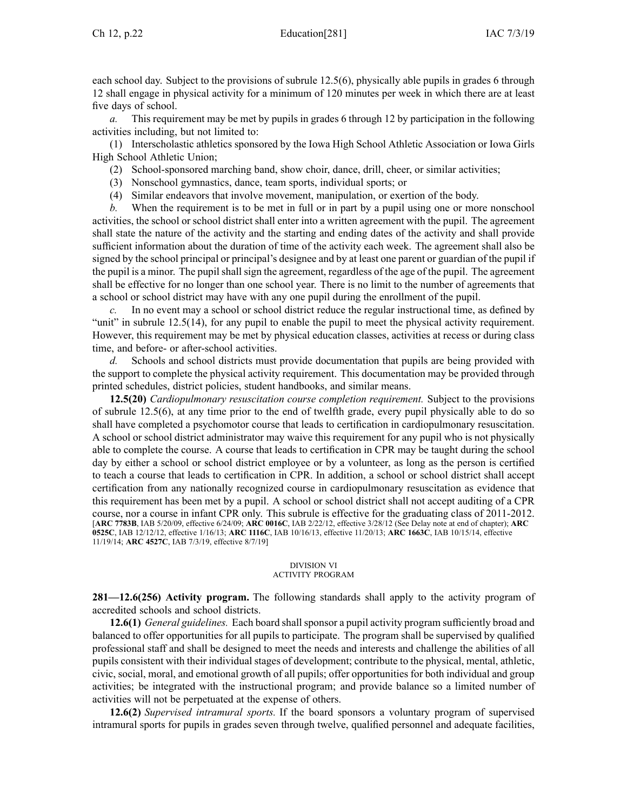each school day. Subject to the provisions of subrule [12.5\(6\)](https://www.legis.iowa.gov/docs/iac/rule/281.12.5.pdf), physically able pupils in grades 6 through 12 shall engage in physical activity for <sup>a</sup> minimum of 120 minutes per week in which there are at least five days of school.

*a.* This requirement may be met by pupils in grades 6 through 12 by participation in the following activities including, but not limited to:

(1) Interscholastic athletics sponsored by the Iowa High School Athletic Association or Iowa Girls High School Athletic Union;

(2) School-sponsored marching band, show choir, dance, drill, cheer, or similar activities;

- (3) Nonschool gymnastics, dance, team sports, individual sports; or
- (4) Similar endeavors that involve movement, manipulation, or exertion of the body.

*b.* When the requirement is to be met in full or in par<sup>t</sup> by <sup>a</sup> pupil using one or more nonschool activities, the school or school district shall enter into <sup>a</sup> written agreemen<sup>t</sup> with the pupil. The agreemen<sup>t</sup> shall state the nature of the activity and the starting and ending dates of the activity and shall provide sufficient information about the duration of time of the activity each week. The agreemen<sup>t</sup> shall also be signed by the school principal or principal's designee and by at least one paren<sup>t</sup> or guardian of the pupil if the pupil is a minor. The pupil shall sign the agreement, regardless of the age of the pupil. The agreement shall be effective for no longer than one school year. There is no limit to the number of agreements that <sup>a</sup> school or school district may have with any one pupil during the enrollment of the pupil.

*c.* In no event may <sup>a</sup> school or school district reduce the regular instructional time, as defined by "unit" in subrule [12.5\(14\)](https://www.legis.iowa.gov/docs/iac/rule/281.12.5.pdf), for any pupil to enable the pupil to meet the physical activity requirement. However, this requirement may be met by physical education classes, activities at recess or during class time, and before- or after-school activities.

*d.* Schools and school districts must provide documentation that pupils are being provided with the suppor<sup>t</sup> to complete the physical activity requirement. This documentation may be provided through printed schedules, district policies, student handbooks, and similar means.

**12.5(20)** *Cardiopulmonary resuscitation course completion requirement.* Subject to the provisions of subrule [12.5\(6\)](https://www.legis.iowa.gov/docs/iac/rule/281.12.5.pdf), at any time prior to the end of twelfth grade, every pupil physically able to do so shall have completed <sup>a</sup> psychomotor course that leads to certification in cardiopulmonary resuscitation. A school or school district administrator may waive this requirement for any pupil who is not physically able to complete the course. A course that leads to certification in CPR may be taught during the school day by either <sup>a</sup> school or school district employee or by <sup>a</sup> volunteer, as long as the person is certified to teach <sup>a</sup> course that leads to certification in CPR. In addition, <sup>a</sup> school or school district shall accep<sup>t</sup> certification from any nationally recognized course in cardiopulmonary resuscitation as evidence that this requirement has been met by <sup>a</sup> pupil. A school or school district shall not accep<sup>t</sup> auditing of <sup>a</sup> CPR course, nor <sup>a</sup> course in infant CPR only. This subrule is effective for the graduating class of 2011-2012. [**ARC [7783B](https://www.legis.iowa.gov/docs/aco/arc/7783B.pdf)**, IAB 5/20/09, effective 6/24/09; **ARC [0016C](https://www.legis.iowa.gov/docs/aco/arc/0016C.pdf)**, IAB 2/22/12, effective 3/28/12 (See Delay note at end of chapter); **[ARC](https://www.legis.iowa.gov/docs/aco/arc/0525C.pdf) [0525C](https://www.legis.iowa.gov/docs/aco/arc/0525C.pdf)**, IAB 12/12/12, effective 1/16/13; **ARC [1116C](https://www.legis.iowa.gov/docs/aco/arc/1116C.pdf)**, IAB 10/16/13, effective 11/20/13; **ARC [1663C](https://www.legis.iowa.gov/docs/aco/arc/1663C.pdf)**, IAB 10/15/14, effective 11/19/14; **ARC [4527C](https://www.legis.iowa.gov/docs/aco/arc/4527C.pdf)**, IAB 7/3/19, effective 8/7/19]

### DIVISION VI ACTIVITY PROGRAM

**281—12.6(256) Activity program.** The following standards shall apply to the activity program of accredited schools and school districts.

**12.6(1)** *General guidelines.* Each board shall sponsor a pupil activity program sufficiently broad and balanced to offer opportunities for all pupils to participate. The program shall be supervised by qualified professional staff and shall be designed to meet the needs and interests and challenge the abilities of all pupils consistent with their individual stages of development; contribute to the physical, mental, athletic, civic, social, moral, and emotional growth of all pupils; offer opportunities for both individual and group activities; be integrated with the instructional program; and provide balance so <sup>a</sup> limited number of activities will not be perpetuated at the expense of others.

**12.6(2)** *Supervised intramural sports.* If the board sponsors <sup>a</sup> voluntary program of supervised intramural sports for pupils in grades seven through twelve, qualified personnel and adequate facilities,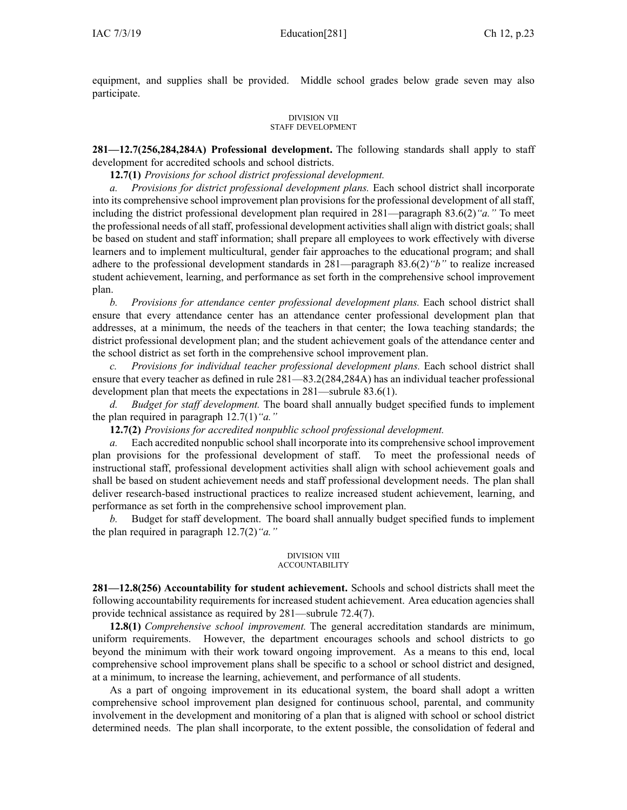equipment, and supplies shall be provided. Middle school grades below grade seven may also participate.

### DIVISION VII STAFF DEVELOPMENT

**281—12.7(256,284,284A) Professional development.** The following standards shall apply to staff development for accredited schools and school districts.

**12.7(1)** *Provisions for school district professional development.*

*a. Provisions for district professional development plans.* Each school district shall incorporate into its comprehensive school improvement plan provisions for the professional development of all staff, including the district professional development plan required in 281—paragraph [83.6\(2\)](https://www.legis.iowa.gov/docs/iac/rule/281.83.6.pdf)*"a."* To meet the professional needs of allstaff, professional development activitiesshall align with district goals; shall be based on student and staff information; shall prepare all employees to work effectively with diverse learners and to implement multicultural, gender fair approaches to the educational program; and shall adhere to the professional development standards in 281—paragraph [83.6\(2\)](https://www.legis.iowa.gov/docs/iac/rule/281.83.6.pdf)*"b"* to realize increased student achievement, learning, and performance as set forth in the comprehensive school improvement plan.

*b. Provisions for attendance center professional development plans.* Each school district shall ensure that every attendance center has an attendance center professional development plan that addresses, at <sup>a</sup> minimum, the needs of the teachers in that center; the Iowa teaching standards; the district professional development plan; and the student achievement goals of the attendance center and the school district as set forth in the comprehensive school improvement plan.

*c. Provisions for individual teacher professional development plans.* Each school district shall ensure that every teacher as defined in rule [281—83.2](https://www.legis.iowa.gov/docs/iac/rule/281.83.2.pdf)(284,284A) has an individual teacher professional development plan that meets the expectations in [281—subrule](https://www.legis.iowa.gov/docs/iac/rule/281.83.6.pdf) 83.6(1).

*d. Budget for staff development.* The board shall annually budget specified funds to implement the plan required in paragraph [12.7\(1\)](https://www.legis.iowa.gov/docs/iac/rule/281.12.7.pdf)*"a."*

**12.7(2)** *Provisions for accredited nonpublic school professional development.*

*a.* Each accredited nonpublic school shall incorporate into its comprehensive school improvement plan provisions for the professional development of staff. To meet the professional needs of instructional staff, professional development activities shall align with school achievement goals and shall be based on student achievement needs and staff professional development needs. The plan shall deliver research-based instructional practices to realize increased student achievement, learning, and performance as set forth in the comprehensive school improvement plan.

*b.* Budget for staff development. The board shall annually budget specified funds to implement the plan required in paragraph [12.7\(2\)](https://www.legis.iowa.gov/docs/iac/rule/281.12.7.pdf)*"a."*

#### DIVISION VIII ACCOUNTABILITY

**281—12.8(256) Accountability for student achievement.** Schools and school districts shall meet the following accountability requirements for increased student achievement. Area education agencies shall provide technical assistance as required by [281—subrule](https://www.legis.iowa.gov/docs/iac/rule/281.72.4.pdf) 72.4(7).

**12.8(1)** *Comprehensive school improvement.* The general accreditation standards are minimum, uniform requirements. However, the department encourages schools and school districts to go beyond the minimum with their work toward ongoing improvement. As <sup>a</sup> means to this end, local comprehensive school improvement plans shall be specific to <sup>a</sup> school or school district and designed, at <sup>a</sup> minimum, to increase the learning, achievement, and performance of all students.

As <sup>a</sup> par<sup>t</sup> of ongoing improvement in its educational system, the board shall adopt <sup>a</sup> written comprehensive school improvement plan designed for continuous school, parental, and community involvement in the development and monitoring of <sup>a</sup> plan that is aligned with school or school district determined needs. The plan shall incorporate, to the extent possible, the consolidation of federal and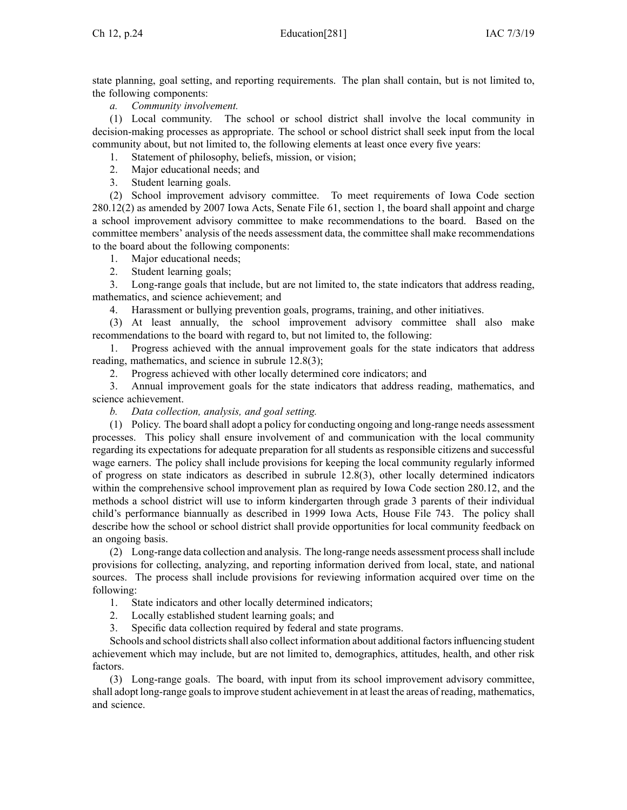state planning, goal setting, and reporting requirements. The plan shall contain, but is not limited to, the following components:

*a. Community involvement.*

(1) Local community. The school or school district shall involve the local community in decision-making processes as appropriate. The school or school district shall seek input from the local community about, but not limited to, the following elements at least once every five years:

1. Statement of philosophy, beliefs, mission, or vision;

- 2. Major educational needs; and
- 3. Student learning goals.

(2) School improvement advisory committee. To meet requirements of Iowa Code section [280.12\(2\)](https://www.legis.iowa.gov/docs/ico/section/280.12.pdf) as amended by 2007 Iowa Acts, Senate File 61, section 1, the board shall appoint and charge <sup>a</sup> school improvement advisory committee to make recommendations to the board. Based on the committee members' analysis of the needs assessment data, the committee shall make recommendations to the board about the following components:

- 1. Major educational needs;
- 2. Student learning goals;

3. Long-range goals that include, but are not limited to, the state indicators that address reading, mathematics, and science achievement; and

4. Harassment or bullying prevention goals, programs, training, and other initiatives.

(3) At least annually, the school improvement advisory committee shall also make recommendations to the board with regard to, but not limited to, the following:

1. Progress achieved with the annual improvement goals for the state indicators that address reading, mathematics, and science in subrule [12.8\(3\)](https://www.legis.iowa.gov/docs/iac/rule/281.12.8.pdf);

2. Progress achieved with other locally determined core indicators; and

3. Annual improvement goals for the state indicators that address reading, mathematics, and science achievement.

*b. Data collection, analysis, and goal setting.*

(1) Policy. The board shall adopt <sup>a</sup> policy for conducting ongoing and long-range needs assessment processes. This policy shall ensure involvement of and communication with the local community regarding its expectations for adequate preparation for all students as responsible citizens and successful wage earners. The policy shall include provisions for keeping the local community regularly informed of progress on state indicators as described in subrule [12.8\(3\)](https://www.legis.iowa.gov/docs/iac/rule/281.12.8.pdf), other locally determined indicators within the comprehensive school improvement plan as required by Iowa Code section [280.12](https://www.legis.iowa.gov/docs/ico/section/280.12.pdf), and the methods <sup>a</sup> school district will use to inform kindergarten through grade 3 parents of their individual child's performance biannually as described in 1999 Iowa Acts, House File 743. The policy shall describe how the school or school district shall provide opportunities for local community feedback on an ongoing basis.

(2) Long-range data collection and analysis. The long-range needs assessment processshall include provisions for collecting, analyzing, and reporting information derived from local, state, and national sources. The process shall include provisions for reviewing information acquired over time on the following:

- 1. State indicators and other locally determined indicators;
- 2. Locally established student learning goals; and
- 3. Specific data collection required by federal and state programs.

Schools and school districts shall also collect information about additional factors influencing student achievement which may include, but are not limited to, demographics, attitudes, health, and other risk factors.

(3) Long-range goals. The board, with input from its school improvement advisory committee, shall adopt long-range goals to improve student achievement in at least the areas of reading, mathematics, and science.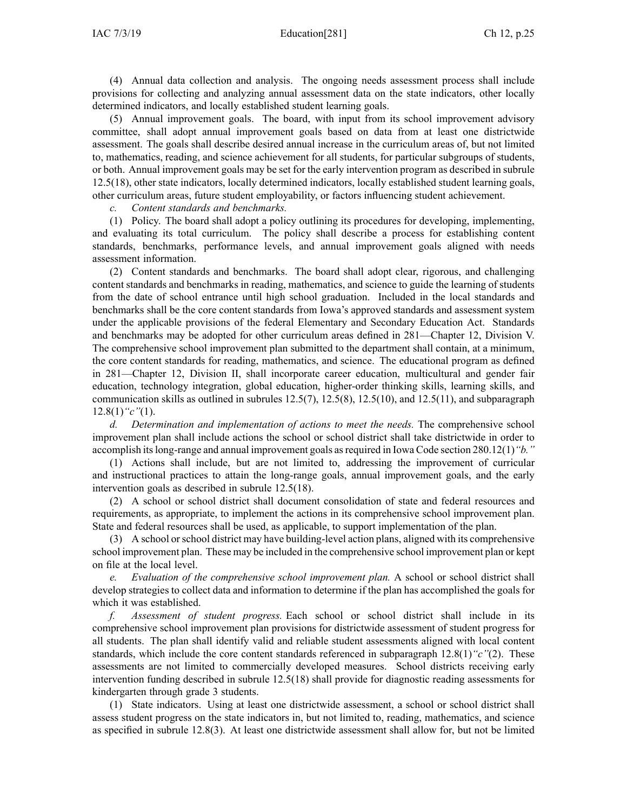(4) Annual data collection and analysis. The ongoing needs assessment process shall include provisions for collecting and analyzing annual assessment data on the state indicators, other locally determined indicators, and locally established student learning goals.

(5) Annual improvement goals. The board, with input from its school improvement advisory committee, shall adopt annual improvement goals based on data from at least one districtwide assessment. The goals shall describe desired annual increase in the curriculum areas of, but not limited to, mathematics, reading, and science achievement for all students, for particular subgroups of students, or both. Annual improvement goals may be set for the early intervention program as described in subrule [12.5\(18\)](https://www.legis.iowa.gov/docs/iac/rule/281.12.5.pdf), other state indicators, locally determined indicators, locally established student learning goals, other curriculum areas, future student employability, or factors influencing student achievement.

*c. Content standards and benchmarks.*

(1) Policy. The board shall adopt <sup>a</sup> policy outlining its procedures for developing, implementing, and evaluating its total curriculum. The policy shall describe <sup>a</sup> process for establishing content standards, benchmarks, performance levels, and annual improvement goals aligned with needs assessment information.

(2) Content standards and benchmarks. The board shall adopt clear, rigorous, and challenging content standards and benchmarks in reading, mathematics, and science to guide the learning of students from the date of school entrance until high school graduation. Included in the local standards and benchmarks shall be the core content standards from Iowa's approved standards and assessment system under the applicable provisions of the federal Elementary and Secondary Education Act. Standards and benchmarks may be adopted for other curriculum areas defined in [281—Chapter](https://www.legis.iowa.gov/docs/iac/chapter/281.12.pdf) 12, Division V. The comprehensive school improvement plan submitted to the department shall contain, at <sup>a</sup> minimum, the core content standards for reading, mathematics, and science. The educational program as defined in [281—Chapter](https://www.legis.iowa.gov/docs/iac/chapter/281.12.pdf) 12, Division II, shall incorporate career education, multicultural and gender fair education, technology integration, global education, higher-order thinking skills, learning skills, and communication skills as outlined in subrules  $12.5(7)$ ,  $12.5(8)$ ,  $12.5(10)$ , and  $12.5(11)$ , and subparagraph [12.8\(1\)](https://www.legis.iowa.gov/docs/iac/rule/281.12.8.pdf)*"c"*(1).

*d. Determination and implementation of actions to meet the needs.* The comprehensive school improvement plan shall include actions the school or school district shall take districtwide in order to accomplish itslong-range and annual improvement goals asrequired in Iowa Code section [280.12\(1\)](https://www.legis.iowa.gov/docs/ico/section/280.12.pdf)*"b."*

(1) Actions shall include, but are not limited to, addressing the improvement of curricular and instructional practices to attain the long-range goals, annual improvement goals, and the early intervention goals as described in subrule [12.5\(18\)](https://www.legis.iowa.gov/docs/iac/rule/281.12.5.pdf).

(2) A school or school district shall document consolidation of state and federal resources and requirements, as appropriate, to implement the actions in its comprehensive school improvement plan. State and federal resources shall be used, as applicable, to suppor<sup>t</sup> implementation of the plan.

(3) A school orschool district may have building-level action plans, aligned with its comprehensive school improvement plan. These may be included in the comprehensive school improvement plan or kept on file at the local level.

*e. Evaluation of the comprehensive school improvement plan.* A school or school district shall develop strategies to collect data and information to determine if the plan has accomplished the goals for which it was established.

*f. Assessment of student progress.* Each school or school district shall include in its comprehensive school improvement plan provisions for districtwide assessment of student progress for all students. The plan shall identify valid and reliable student assessments aligned with local content standards, which include the core content standards referenced in subparagraph [12.8\(1\)](https://www.legis.iowa.gov/docs/iac/rule/281.12.8.pdf)*"c"*(2). These assessments are not limited to commercially developed measures. School districts receiving early intervention funding described in subrule [12.5\(18\)](https://www.legis.iowa.gov/docs/iac/rule/281.12.5.pdf) shall provide for diagnostic reading assessments for kindergarten through grade 3 students.

(1) State indicators. Using at least one districtwide assessment, <sup>a</sup> school or school district shall assess student progress on the state indicators in, but not limited to, reading, mathematics, and science as specified in subrule [12.8\(3\)](https://www.legis.iowa.gov/docs/iac/rule/281.12.8.pdf). At least one districtwide assessment shall allow for, but not be limited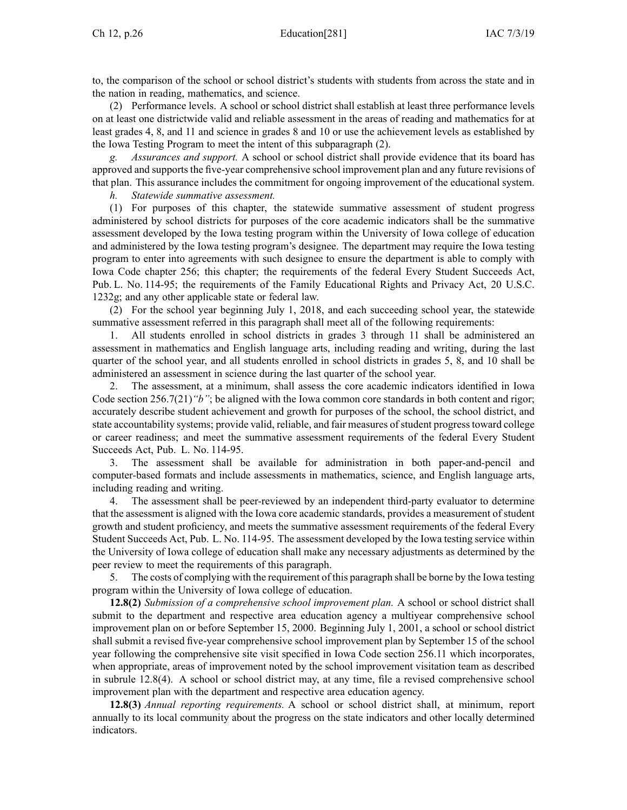to, the comparison of the school or school district's students with students from across the state and in the nation in reading, mathematics, and science.

(2) Performance levels. A school or school district shall establish at least three performance levels on at least one districtwide valid and reliable assessment in the areas of reading and mathematics for at least grades 4, 8, and 11 and science in grades 8 and 10 or use the achievement levels as established by the Iowa Testing Program to meet the intent of this subparagraph (2).

*g. Assurances and support.* A school or school district shall provide evidence that its board has approved and supports the five-year comprehensive school improvement plan and any future revisions of that plan. This assurance includes the commitment for ongoing improvement of the educational system.

*h. Statewide summative assessment.*

(1) For purposes of this chapter, the statewide summative assessment of student progress administered by school districts for purposes of the core academic indicators shall be the summative assessment developed by the Iowa testing program within the University of Iowa college of education and administered by the Iowa testing program's designee. The department may require the Iowa testing program to enter into agreements with such designee to ensure the department is able to comply with Iowa Code chapter [256](https://www.legis.iowa.gov/docs/ico/chapter/2018/256.pdf); this chapter; the requirements of the federal Every Student Succeeds Act, Pub. L. No. 114-95; the requirements of the Family Educational Rights and Privacy Act, 20 U.S.C. 1232g; and any other applicable state or federal law.

(2) For the school year beginning July 1, 2018, and each succeeding school year, the statewide summative assessment referred in this paragraph shall meet all of the following requirements:

1. All students enrolled in school districts in grades 3 through 11 shall be administered an assessment in mathematics and English language arts, including reading and writing, during the last quarter of the school year, and all students enrolled in school districts in grades 5, 8, and 10 shall be administered an assessment in science during the last quarter of the school year.

2. The assessment, at <sup>a</sup> minimum, shall assess the core academic indicators identified in Iowa Code section [256.7\(21\)](https://www.legis.iowa.gov/docs/ico/section/2018/256.7.pdf)*"b"*; be aligned with the Iowa common core standards in both content and rigor; accurately describe student achievement and growth for purposes of the school, the school district, and state accountability systems; provide valid, reliable, and fair measures of student progress toward college or career readiness; and meet the summative assessment requirements of the federal Every Student Succeeds Act, Pub. L. No. 114-95.

3. The assessment shall be available for administration in both paper-and-pencil and computer-based formats and include assessments in mathematics, science, and English language arts, including reading and writing.

4. The assessment shall be peer-reviewed by an independent third-party evaluator to determine that the assessment is aligned with the Iowa core academic standards, provides <sup>a</sup> measurement of student growth and student proficiency, and meets the summative assessment requirements of the federal Every Student Succeeds Act, Pub. L. No. 114-95. The assessment developed by the Iowa testing service within the University of Iowa college of education shall make any necessary adjustments as determined by the peer review to meet the requirements of this paragraph.

5. The costs of complying with the requirement of this paragraph shall be borne by the Iowa testing program within the University of Iowa college of education.

**12.8(2)** *Submission of <sup>a</sup> comprehensive school improvement plan.* A school or school district shall submit to the department and respective area education agency <sup>a</sup> multiyear comprehensive school improvement plan on or before September 15, 2000. Beginning July 1, 2001, <sup>a</sup> school or school district shall submit <sup>a</sup> revised five-year comprehensive school improvement plan by September 15 of the school year following the comprehensive site visit specified in Iowa Code section [256.11](https://www.legis.iowa.gov/docs/ico/section/256.11.pdf) which incorporates, when appropriate, areas of improvement noted by the school improvement visitation team as described in subrule [12.8\(4\)](https://www.legis.iowa.gov/docs/iac/rule/281.12.8.pdf). A school or school district may, at any time, file <sup>a</sup> revised comprehensive school improvement plan with the department and respective area education agency.

**12.8(3)** *Annual reporting requirements.* A school or school district shall, at minimum, repor<sup>t</sup> annually to its local community about the progress on the state indicators and other locally determined indicators.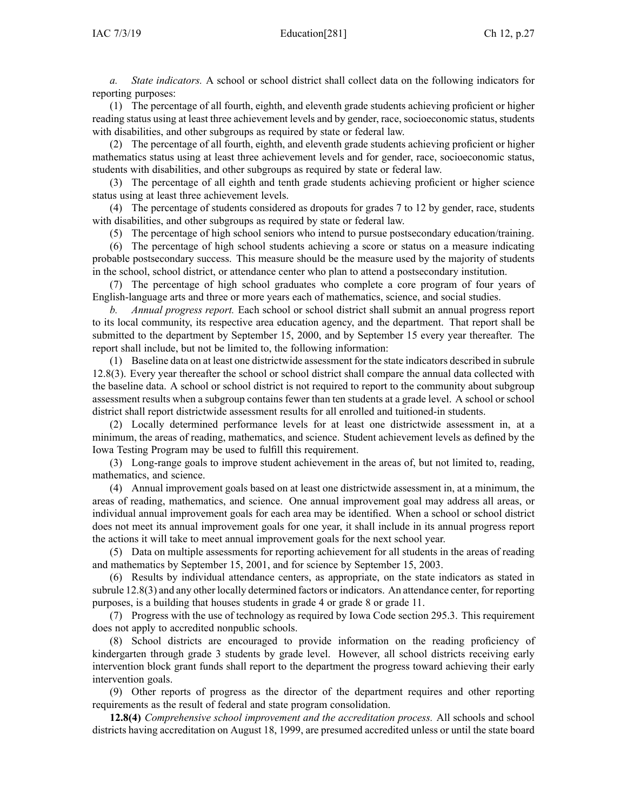*a. State indicators.* A school or school district shall collect data on the following indicators for reporting purposes:

(1) The percentage of all fourth, eighth, and eleventh grade students achieving proficient or higher reading status using at least three achievement levels and by gender, race, socioeconomic status, students with disabilities, and other subgroups as required by state or federal law.

(2) The percentage of all fourth, eighth, and eleventh grade students achieving proficient or higher mathematics status using at least three achievement levels and for gender, race, socioeconomic status, students with disabilities, and other subgroups as required by state or federal law.

(3) The percentage of all eighth and tenth grade students achieving proficient or higher science status using at least three achievement levels.

(4) The percentage of students considered as dropouts for grades 7 to 12 by gender, race, students with disabilities, and other subgroups as required by state or federal law.

(5) The percentage of high school seniors who intend to pursue postsecondary education/training.

(6) The percentage of high school students achieving <sup>a</sup> score or status on <sup>a</sup> measure indicating probable postsecondary success. This measure should be the measure used by the majority of students in the school, school district, or attendance center who plan to attend <sup>a</sup> postsecondary institution.

(7) The percentage of high school graduates who complete <sup>a</sup> core program of four years of English-language arts and three or more years each of mathematics, science, and social studies.

*b. Annual progress report.* Each school or school district shall submit an annual progress repor<sup>t</sup> to its local community, its respective area education agency, and the department. That repor<sup>t</sup> shall be submitted to the department by September 15, 2000, and by September 15 every year thereafter. The repor<sup>t</sup> shall include, but not be limited to, the following information:

(1) Baseline data on at least one districtwide assessment for the state indicators described in subrule [12.8\(3\)](https://www.legis.iowa.gov/docs/iac/rule/281.12.8.pdf). Every year thereafter the school or school district shall compare the annual data collected with the baseline data. A school or school district is not required to repor<sup>t</sup> to the community about subgroup assessment results when <sup>a</sup> subgroup contains fewer than ten students at <sup>a</sup> grade level. A school or school district shall repor<sup>t</sup> districtwide assessment results for all enrolled and tuitioned-in students.

(2) Locally determined performance levels for at least one districtwide assessment in, at <sup>a</sup> minimum, the areas of reading, mathematics, and science. Student achievement levels as defined by the Iowa Testing Program may be used to fulfill this requirement.

(3) Long-range goals to improve student achievement in the areas of, but not limited to, reading, mathematics, and science.

(4) Annual improvement goals based on at least one districtwide assessment in, at <sup>a</sup> minimum, the areas of reading, mathematics, and science. One annual improvement goal may address all areas, or individual annual improvement goals for each area may be identified. When <sup>a</sup> school or school district does not meet its annual improvement goals for one year, it shall include in its annual progress repor<sup>t</sup> the actions it will take to meet annual improvement goals for the next school year.

(5) Data on multiple assessments for reporting achievement for all students in the areas of reading and mathematics by September 15, 2001, and for science by September 15, 2003.

(6) Results by individual attendance centers, as appropriate, on the state indicators as stated in subrule [12.8\(3\)](https://www.legis.iowa.gov/docs/iac/rule/281.12.8.pdf) and any other locally determined factors or indicators. An attendance center, for reporting purposes, is <sup>a</sup> building that houses students in grade 4 or grade 8 or grade 11.

(7) Progress with the use of technology as required by Iowa Code section [295.3](https://www.legis.iowa.gov/docs/ico/section/295.3.pdf). This requirement does not apply to accredited nonpublic schools.

(8) School districts are encouraged to provide information on the reading proficiency of kindergarten through grade 3 students by grade level. However, all school districts receiving early intervention block gran<sup>t</sup> funds shall repor<sup>t</sup> to the department the progress toward achieving their early intervention goals.

(9) Other reports of progress as the director of the department requires and other reporting requirements as the result of federal and state program consolidation.

**12.8(4)** *Comprehensive school improvement and the accreditation process.* All schools and school districts having accreditation on August 18, 1999, are presumed accredited unless or until the state board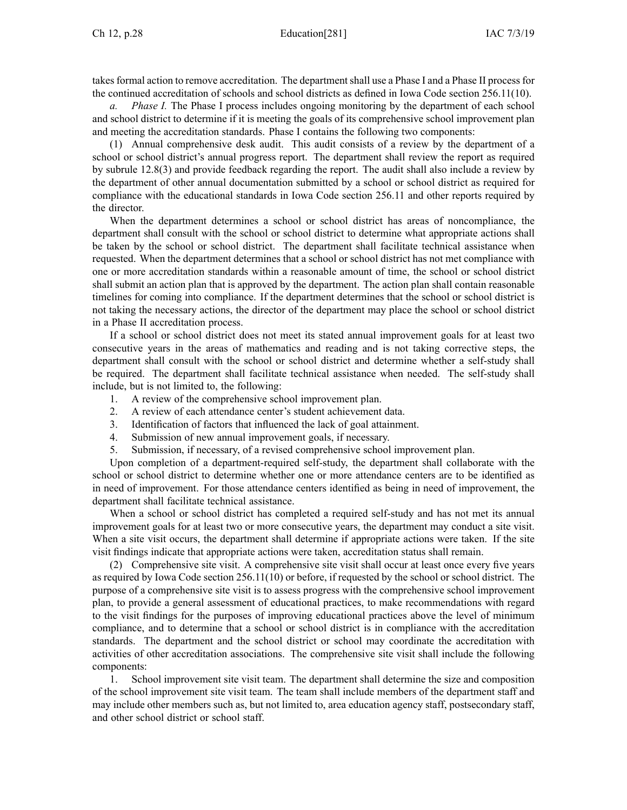takes formal action to remove accreditation. The department shall use a Phase I and a Phase II process for the continued accreditation of schools and school districts as defined in Iowa Code section [256.11\(10\)](https://www.legis.iowa.gov/docs/ico/section/256.11.pdf).

*Phase I.* The Phase I process includes ongoing monitoring by the department of each school and school district to determine if it is meeting the goals of its comprehensive school improvement plan and meeting the accreditation standards. Phase I contains the following two components:

(1) Annual comprehensive desk audit. This audit consists of <sup>a</sup> review by the department of <sup>a</sup> school or school district's annual progress report. The department shall review the repor<sup>t</sup> as required by subrule [12.8\(3\)](https://www.legis.iowa.gov/docs/iac/rule/281.12.8.pdf) and provide feedback regarding the report. The audit shall also include <sup>a</sup> review by the department of other annual documentation submitted by <sup>a</sup> school or school district as required for compliance with the educational standards in Iowa Code section [256.11](https://www.legis.iowa.gov/docs/ico/section/256.11.pdf) and other reports required by the director.

When the department determines <sup>a</sup> school or school district has areas of noncompliance, the department shall consult with the school or school district to determine what appropriate actions shall be taken by the school or school district. The department shall facilitate technical assistance when requested. When the department determines that <sup>a</sup> school or school district has not met compliance with one or more accreditation standards within <sup>a</sup> reasonable amount of time, the school or school district shall submit an action plan that is approved by the department. The action plan shall contain reasonable timelines for coming into compliance. If the department determines that the school or school district is not taking the necessary actions, the director of the department may place the school or school district in <sup>a</sup> Phase II accreditation process.

If <sup>a</sup> school or school district does not meet its stated annual improvement goals for at least two consecutive years in the areas of mathematics and reading and is not taking corrective steps, the department shall consult with the school or school district and determine whether <sup>a</sup> self-study shall be required. The department shall facilitate technical assistance when needed. The self-study shall include, but is not limited to, the following:

- 1. A review of the comprehensive school improvement plan.
- 2. A review of each attendance center's student achievement data.
- 3. Identification of factors that influenced the lack of goal attainment.
- 4. Submission of new annual improvement goals, if necessary.
- 5. Submission, if necessary, of <sup>a</sup> revised comprehensive school improvement plan.

Upon completion of <sup>a</sup> department-required self-study, the department shall collaborate with the school or school district to determine whether one or more attendance centers are to be identified as in need of improvement. For those attendance centers identified as being in need of improvement, the department shall facilitate technical assistance.

When <sup>a</sup> school or school district has completed <sup>a</sup> required self-study and has not met its annual improvement goals for at least two or more consecutive years, the department may conduct <sup>a</sup> site visit. When <sup>a</sup> site visit occurs, the department shall determine if appropriate actions were taken. If the site visit findings indicate that appropriate actions were taken, accreditation status shall remain.

(2) Comprehensive site visit. A comprehensive site visit shall occur at least once every five years as required by Iowa Code section [256.11\(10\)](https://www.legis.iowa.gov/docs/ico/section/256.11.pdf) or before, if requested by the school or school district. The purpose of <sup>a</sup> comprehensive site visit is to assess progress with the comprehensive school improvement plan, to provide <sup>a</sup> general assessment of educational practices, to make recommendations with regard to the visit findings for the purposes of improving educational practices above the level of minimum compliance, and to determine that <sup>a</sup> school or school district is in compliance with the accreditation standards. The department and the school district or school may coordinate the accreditation with activities of other accreditation associations. The comprehensive site visit shall include the following components:

1. School improvement site visit team. The department shall determine the size and composition of the school improvement site visit team. The team shall include members of the department staff and may include other members such as, but not limited to, area education agency staff, postsecondary staff, and other school district or school staff.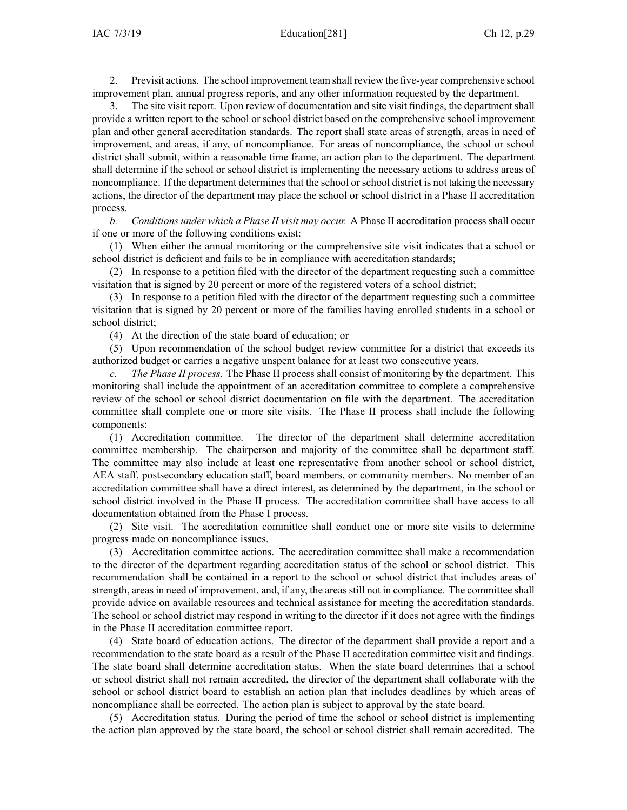2. Previsit actions. The school improvement team shall review the five-year comprehensive school improvement plan, annual progress reports, and any other information requested by the department.

The site visit report. Upon review of documentation and site visit findings, the department shall provide <sup>a</sup> written repor<sup>t</sup> to the school or school district based on the comprehensive school improvement plan and other general accreditation standards. The repor<sup>t</sup> shall state areas of strength, areas in need of improvement, and areas, if any, of noncompliance. For areas of noncompliance, the school or school district shall submit, within <sup>a</sup> reasonable time frame, an action plan to the department. The department shall determine if the school or school district is implementing the necessary actions to address areas of noncompliance. If the department determines that the school or school district is not taking the necessary actions, the director of the department may place the school or school district in <sup>a</sup> Phase II accreditation process.

*b. Conditions under which <sup>a</sup> Phase II visit may occur.* A Phase II accreditation process shall occur if one or more of the following conditions exist:

(1) When either the annual monitoring or the comprehensive site visit indicates that <sup>a</sup> school or school district is deficient and fails to be in compliance with accreditation standards;

(2) In response to <sup>a</sup> petition filed with the director of the department requesting such <sup>a</sup> committee visitation that is signed by 20 percen<sup>t</sup> or more of the registered voters of <sup>a</sup> school district;

(3) In response to <sup>a</sup> petition filed with the director of the department requesting such <sup>a</sup> committee visitation that is signed by 20 percen<sup>t</sup> or more of the families having enrolled students in <sup>a</sup> school or school district;

(4) At the direction of the state board of education; or

(5) Upon recommendation of the school budget review committee for <sup>a</sup> district that exceeds its authorized budget or carries <sup>a</sup> negative unspen<sup>t</sup> balance for at least two consecutive years.

*c. The Phase II process.* The Phase II process shall consist of monitoring by the department. This monitoring shall include the appointment of an accreditation committee to complete <sup>a</sup> comprehensive review of the school or school district documentation on file with the department. The accreditation committee shall complete one or more site visits. The Phase II process shall include the following components:

(1) Accreditation committee. The director of the department shall determine accreditation committee membership. The chairperson and majority of the committee shall be department staff. The committee may also include at least one representative from another school or school district, AEA staff, postsecondary education staff, board members, or community members. No member of an accreditation committee shall have <sup>a</sup> direct interest, as determined by the department, in the school or school district involved in the Phase II process. The accreditation committee shall have access to all documentation obtained from the Phase I process.

(2) Site visit. The accreditation committee shall conduct one or more site visits to determine progress made on noncompliance issues.

(3) Accreditation committee actions. The accreditation committee shall make <sup>a</sup> recommendation to the director of the department regarding accreditation status of the school or school district. This recommendation shall be contained in <sup>a</sup> repor<sup>t</sup> to the school or school district that includes areas of strength, areas in need of improvement, and, if any, the areas still not in compliance. The committee shall provide advice on available resources and technical assistance for meeting the accreditation standards. The school or school district may respond in writing to the director if it does not agree with the findings in the Phase II accreditation committee report.

(4) State board of education actions. The director of the department shall provide <sup>a</sup> repor<sup>t</sup> and <sup>a</sup> recommendation to the state board as <sup>a</sup> result of the Phase II accreditation committee visit and findings. The state board shall determine accreditation status. When the state board determines that <sup>a</sup> school or school district shall not remain accredited, the director of the department shall collaborate with the school or school district board to establish an action plan that includes deadlines by which areas of noncompliance shall be corrected. The action plan is subject to approval by the state board.

(5) Accreditation status. During the period of time the school or school district is implementing the action plan approved by the state board, the school or school district shall remain accredited. The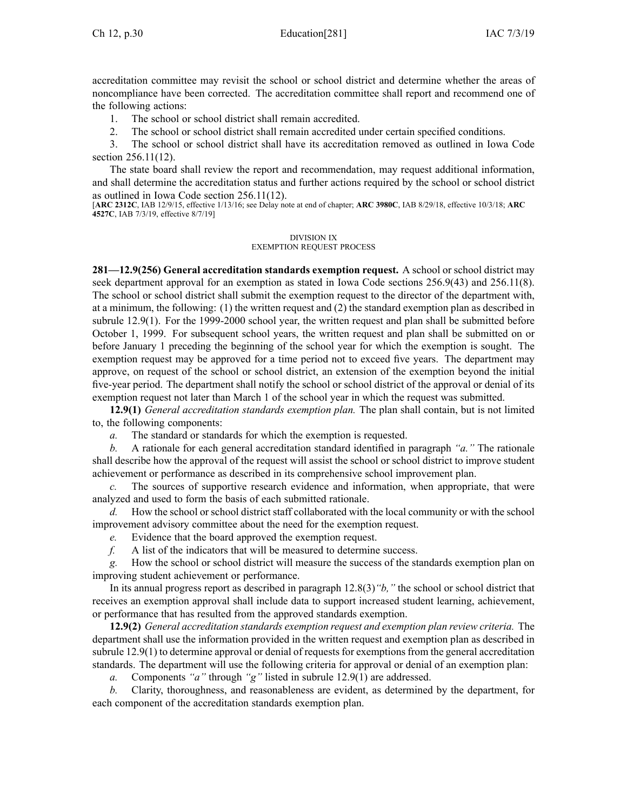accreditation committee may revisit the school or school district and determine whether the areas of noncompliance have been corrected. The accreditation committee shall repor<sup>t</sup> and recommend one of the following actions:

- 1. The school or school district shall remain accredited.
- 2. The school or school district shall remain accredited under certain specified conditions.

3. The school or school district shall have its accreditation removed as outlined in Iowa Code section [256.11\(12\)](https://www.legis.iowa.gov/docs/ico/section/256.11.pdf).

The state board shall review the repor<sup>t</sup> and recommendation, may reques<sup>t</sup> additional information, and shall determine the accreditation status and further actions required by the school or school district as outlined in Iowa Code section [256.11\(12\)](https://www.legis.iowa.gov/docs/ico/section/256.11.pdf).

[**ARC [2312C](https://www.legis.iowa.gov/docs/aco/arc/2312C.pdf)**, IAB 12/9/15, effective 1/13/16; see Delay note at end of chapter; **ARC [3980C](https://www.legis.iowa.gov/docs/aco/arc/3980C.pdf)**, IAB 8/29/18, effective 10/3/18; **[ARC](https://www.legis.iowa.gov/docs/aco/arc/4527C.pdf) [4527C](https://www.legis.iowa.gov/docs/aco/arc/4527C.pdf)**, IAB 7/3/19, effective 8/7/19]

### DIVISION IX EXEMPTION REQUEST PROCESS

**281—12.9(256) General accreditation standards exemption request.** A school or school district may seek department approval for an exemption as stated in Iowa Code sections [256.9\(43\)](https://www.legis.iowa.gov/docs/ico/section/256.9.pdf) and [256.11\(8\)](https://www.legis.iowa.gov/docs/ico/section/256.11.pdf). The school or school district shall submit the exemption reques<sup>t</sup> to the director of the department with, at <sup>a</sup> minimum, the following: (1) the written reques<sup>t</sup> and (2) the standard exemption plan as described in subrule [12.9\(1\)](https://www.legis.iowa.gov/docs/iac/rule/281.12.9.pdf). For the 1999-2000 school year, the written reques<sup>t</sup> and plan shall be submitted before October 1, 1999. For subsequent school years, the written reques<sup>t</sup> and plan shall be submitted on or before January 1 preceding the beginning of the school year for which the exemption is sought. The exemption reques<sup>t</sup> may be approved for <sup>a</sup> time period not to exceed five years. The department may approve, on reques<sup>t</sup> of the school or school district, an extension of the exemption beyond the initial five-year period. The department shall notify the school or school district of the approval or denial of its exemption reques<sup>t</sup> not later than March 1 of the school year in which the reques<sup>t</sup> was submitted.

**12.9(1)** *General accreditation standards exemption plan.* The plan shall contain, but is not limited to, the following components:

*a.* The standard or standards for which the exemption is requested.

*b.* A rationale for each general accreditation standard identified in paragraph *"a."* The rationale shall describe how the approval of the reques<sup>t</sup> will assist the school or school district to improve student achievement or performance as described in its comprehensive school improvement plan.

*c.* The sources of supportive research evidence and information, when appropriate, that were analyzed and used to form the basis of each submitted rationale.

*d.* How the school or school district staff collaborated with the local community or with the school improvement advisory committee about the need for the exemption request.

*e.* Evidence that the board approved the exemption request.

*f.* A list of the indicators that will be measured to determine success.

*g.* How the school or school district will measure the success of the standards exemption plan on improving student achievement or performance.

In its annual progress repor<sup>t</sup> as described in paragraph [12.8\(3\)](https://www.legis.iowa.gov/docs/iac/rule/281.12.8.pdf)*"b,"* the school or school district that receives an exemption approval shall include data to suppor<sup>t</sup> increased student learning, achievement, or performance that has resulted from the approved standards exemption.

**12.9(2)** *General accreditation standards exemption reques<sup>t</sup> and exemption plan review criteria.* The department shall use the information provided in the written reques<sup>t</sup> and exemption plan as described in subrule  $12.9(1)$  to determine approval or denial of requests for exemptions from the general accreditation standards. The department will use the following criteria for approval or denial of an exemption plan:

*a.* Components *"a"* through *"g"* listed in subrule [12.9\(1\)](https://www.legis.iowa.gov/docs/iac/rule/281.12.9.pdf) are addressed.

*b.* Clarity, thoroughness, and reasonableness are evident, as determined by the department, for each componen<sup>t</sup> of the accreditation standards exemption plan.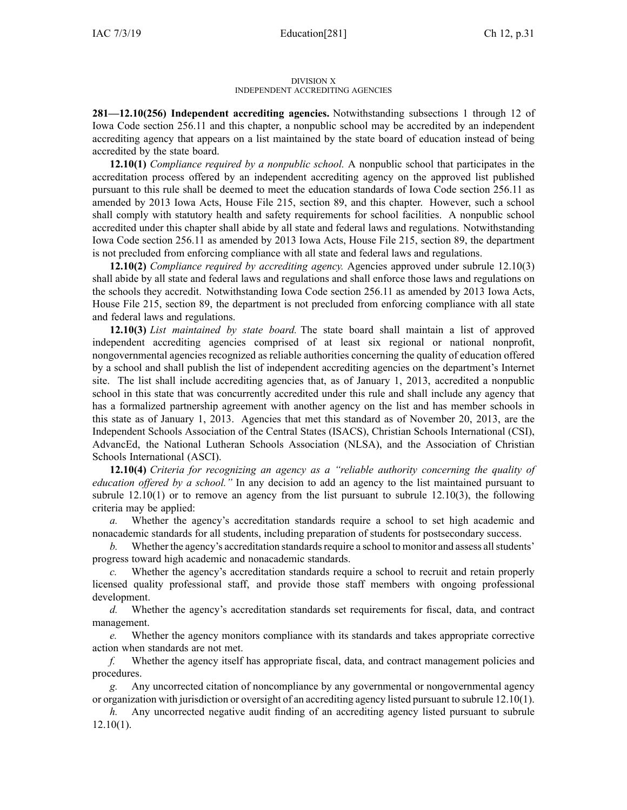### DIVISION X INDEPENDENT ACCREDITING AGENCIES

**281—12.10(256) Independent accrediting agencies.** Notwithstanding subsections 1 through 12 of Iowa Code section [256.11](https://www.legis.iowa.gov/docs/ico/section/256.11.pdf) and this chapter, <sup>a</sup> nonpublic school may be accredited by an independent accrediting agency that appears on <sup>a</sup> list maintained by the state board of education instead of being accredited by the state board.

**12.10(1)** *Compliance required by <sup>a</sup> nonpublic school.* A nonpublic school that participates in the accreditation process offered by an independent accrediting agency on the approved list published pursuan<sup>t</sup> to this rule shall be deemed to meet the education standards of Iowa Code section [256.11](https://www.legis.iowa.gov/docs/ico/section/256.11.pdf) as amended by 2013 Iowa Acts, House File 215, section 89, and this chapter. However, such <sup>a</sup> school shall comply with statutory health and safety requirements for school facilities. A nonpublic school accredited under this chapter shall abide by all state and federal laws and regulations. Notwithstanding Iowa Code section [256.11](https://www.legis.iowa.gov/docs/ico/section/256.11.pdf) as amended by 2013 Iowa Acts, House File 215, section 89, the department is not precluded from enforcing compliance with all state and federal laws and regulations.

**12.10(2)** *Compliance required by accrediting agency.* Agencies approved under subrule [12.10\(3\)](https://www.legis.iowa.gov/docs/iac/rule/281.12.10.pdf) shall abide by all state and federal laws and regulations and shall enforce those laws and regulations on the schools they accredit. Notwithstanding Iowa Code section [256.11](https://www.legis.iowa.gov/docs/ico/section/256.11.pdf) as amended by 2013 Iowa Acts, House File 215, section 89, the department is not precluded from enforcing compliance with all state and federal laws and regulations.

**12.10(3)** *List maintained by state board.* The state board shall maintain <sup>a</sup> list of approved independent accrediting agencies comprised of at least six regional or national nonprofit, nongovernmental agencies recognized as reliable authorities concerning the quality of education offered by <sup>a</sup> school and shall publish the list of independent accrediting agencies on the department's Internet site. The list shall include accrediting agencies that, as of January 1, 2013, accredited <sup>a</sup> nonpublic school in this state that was concurrently accredited under this rule and shall include any agency that has <sup>a</sup> formalized partnership agreemen<sup>t</sup> with another agency on the list and has member schools in this state as of January 1, 2013. Agencies that met this standard as of November 20, 2013, are the Independent Schools Association of the Central States (ISACS), Christian Schools International (CSI), AdvancEd, the National Lutheran Schools Association (NLSA), and the Association of Christian Schools International (ASCI).

**12.10(4)** *Criteria for recognizing an agency as <sup>a</sup> "reliable authority concerning the quality of education offered by <sup>a</sup> school."* In any decision to add an agency to the list maintained pursuan<sup>t</sup> to subrule  $12.10(1)$  or to remove an agency from the list pursuant to subrule  $12.10(3)$ , the following criteria may be applied:

*a.* Whether the agency's accreditation standards require <sup>a</sup> school to set high academic and nonacademic standards for all students, including preparation of students for postsecondary success.

*b.* Whether the agency's accreditation standards require a school to monitor and assess all students' progress toward high academic and nonacademic standards.

*c.* Whether the agency's accreditation standards require <sup>a</sup> school to recruit and retain properly licensed quality professional staff, and provide those staff members with ongoing professional development.

*d.* Whether the agency's accreditation standards set requirements for fiscal, data, and contract management.

*e.* Whether the agency monitors compliance with its standards and takes appropriate corrective action when standards are not met.

*f.* Whether the agency itself has appropriate fiscal, data, and contract managemen<sup>t</sup> policies and procedures.

*g.* Any uncorrected citation of noncompliance by any governmental or nongovernmental agency or organization with jurisdiction or oversight of an accrediting agency listed pursuan<sup>t</sup> to subrule [12.10\(1\)](https://www.legis.iowa.gov/docs/iac/rule/281.12.10.pdf).

*h.* Any uncorrected negative audit finding of an accrediting agency listed pursuan<sup>t</sup> to subrule [12.10\(1\)](https://www.legis.iowa.gov/docs/iac/rule/281.12.10.pdf).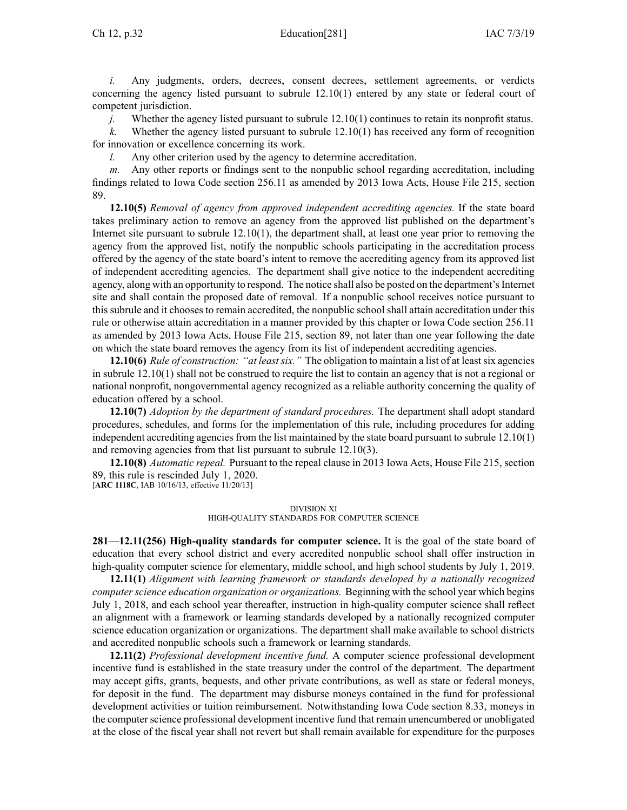*i.* Any judgments, orders, decrees, consent decrees, settlement agreements, or verdicts concerning the agency listed pursuan<sup>t</sup> to subrule [12.10\(1\)](https://www.legis.iowa.gov/docs/iac/rule/281.12.10.pdf) entered by any state or federal court of competent jurisdiction.

*j.* Whether the agency listed pursuant to subrule [12.10\(1\)](https://www.legis.iowa.gov/docs/iac/rule/281.12.10.pdf) continues to retain its nonprofit status.

*k.* Whether the agency listed pursuan<sup>t</sup> to subrule [12.10\(1\)](https://www.legis.iowa.gov/docs/iac/rule/281.12.10.pdf) has received any form of recognition for innovation or excellence concerning its work.

*l.* Any other criterion used by the agency to determine accreditation.

*m.* Any other reports or findings sent to the nonpublic school regarding accreditation, including findings related to Iowa Code section [256.11](https://www.legis.iowa.gov/docs/ico/section/256.11.pdf) as amended by 2013 Iowa Acts, House File 215, section 89.

**12.10(5)** *Removal of agency from approved independent accrediting agencies.* If the state board takes preliminary action to remove an agency from the approved list published on the department's Internet site pursuan<sup>t</sup> to subrule [12.10\(1\)](https://www.legis.iowa.gov/docs/iac/rule/281.12.10.pdf), the department shall, at least one year prior to removing the agency from the approved list, notify the nonpublic schools participating in the accreditation process offered by the agency of the state board's intent to remove the accrediting agency from its approved list of independent accrediting agencies. The department shall give notice to the independent accrediting agency, along with an opportunity to respond. The notice shall also be posted on the department's Internet site and shall contain the proposed date of removal. If <sup>a</sup> nonpublic school receives notice pursuan<sup>t</sup> to this subrule and it chooses to remain accredited, the nonpublic school shall attain accreditation under this rule or otherwise attain accreditation in <sup>a</sup> manner provided by this chapter or Iowa Code section [256.11](https://www.legis.iowa.gov/docs/ico/section/256.11.pdf) as amended by 2013 Iowa Acts, House File 215, section 89, not later than one year following the date on which the state board removes the agency from its list of independent accrediting agencies.

**12.10(6)** *Rule of construction: "at leastsix."* The obligation to maintain <sup>a</sup> list of at leastsix agencies in subrule [12.10\(1\)](https://www.legis.iowa.gov/docs/iac/rule/281.12.10.pdf) shall not be construed to require the list to contain an agency that is not <sup>a</sup> regional or national nonprofit, nongovernmental agency recognized as <sup>a</sup> reliable authority concerning the quality of education offered by <sup>a</sup> school.

**12.10(7)** *Adoption by the department of standard procedures.* The department shall adopt standard procedures, schedules, and forms for the implementation of this rule, including procedures for adding independent accrediting agencies from the list maintained by the state board pursuan<sup>t</sup> to subrule [12.10\(1\)](https://www.legis.iowa.gov/docs/iac/rule/281.12.10.pdf) and removing agencies from that list pursuan<sup>t</sup> to subrule [12.10\(3\)](https://www.legis.iowa.gov/docs/iac/rule/281.12.10.pdf).

**12.10(8)** *Automatic repeal.* Pursuant to the repeal clause in 2013 Iowa Acts, House File 215, section 89, this rule is rescinded July 1, 2020.

[**ARC [1118C](https://www.legis.iowa.gov/docs/aco/arc/1118C.pdf)**, IAB 10/16/13, effective 11/20/13]

### DIVISION XI

## HIGH-QUALITY STANDARDS FOR COMPUTER SCIENCE

**281—12.11(256) High-quality standards for computer science.** It is the goal of the state board of education that every school district and every accredited nonpublic school shall offer instruction in high-quality computer science for elementary, middle school, and high school students by July 1, 2019.

**12.11(1)** *Alignment with learning framework or standards developed by <sup>a</sup> nationally recognized computerscience education organization or organizations.* Beginning with the school year which begins July 1, 2018, and each school year thereafter, instruction in high-quality computer science shall reflect an alignment with <sup>a</sup> framework or learning standards developed by <sup>a</sup> nationally recognized computer science education organization or organizations. The department shall make available to school districts and accredited nonpublic schools such <sup>a</sup> framework or learning standards.

**12.11(2)** *Professional development incentive fund.* A computer science professional development incentive fund is established in the state treasury under the control of the department. The department may accep<sup>t</sup> gifts, grants, bequests, and other private contributions, as well as state or federal moneys, for deposit in the fund. The department may disburse moneys contained in the fund for professional development activities or tuition reimbursement. Notwithstanding Iowa Code section 8.33, moneys in the computer science professional development incentive fund that remain unencumbered or unobligated at the close of the fiscal year shall not revert but shall remain available for expenditure for the purposes